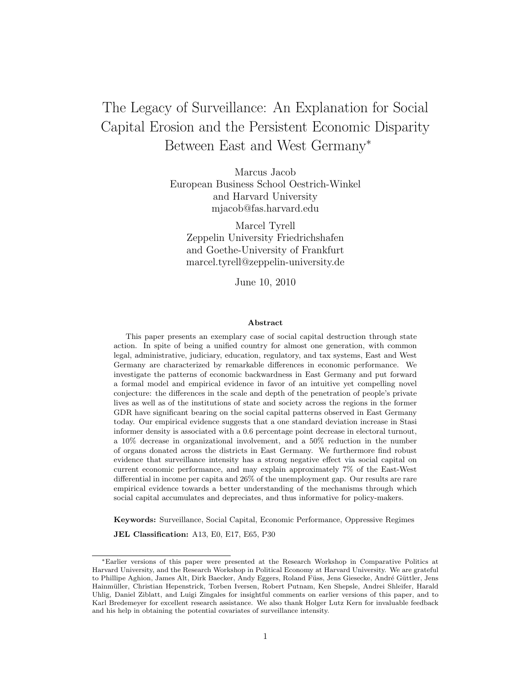# The Legacy of Surveillance: An Explanation for Social Capital Erosion and the Persistent Economic Disparity Between East and West Germany<sup>∗</sup>

Marcus Jacob European Business School Oestrich-Winkel and Harvard University mjacob@fas.harvard.edu

Marcel Tyrell Zeppelin University Friedrichshafen and Goethe-University of Frankfurt marcel.tyrell@zeppelin-university.de

June 10, 2010

#### Abstract

This paper presents an exemplary case of social capital destruction through state action. In spite of being a unified country for almost one generation, with common legal, administrative, judiciary, education, regulatory, and tax systems, East and West Germany are characterized by remarkable differences in economic performance. We investigate the patterns of economic backwardness in East Germany and put forward a formal model and empirical evidence in favor of an intuitive yet compelling novel conjecture: the differences in the scale and depth of the penetration of people's private lives as well as of the institutions of state and society across the regions in the former GDR have significant bearing on the social capital patterns observed in East Germany today. Our empirical evidence suggests that a one standard deviation increase in Stasi informer density is associated with a 0.6 percentage point decrease in electoral turnout, a 10% decrease in organizational involvement, and a 50% reduction in the number of organs donated across the districts in East Germany. We furthermore find robust evidence that surveillance intensity has a strong negative effect via social capital on current economic performance, and may explain approximately 7% of the East-West differential in income per capita and 26% of the unemployment gap. Our results are rare empirical evidence towards a better understanding of the mechanisms through which social capital accumulates and depreciates, and thus informative for policy-makers.

Keywords: Surveillance, Social Capital, Economic Performance, Oppressive Regimes JEL Classification: A13, E0, E17, E65, P30

<sup>∗</sup>Earlier versions of this paper were presented at the Research Workshop in Comparative Politics at Harvard University, and the Research Workshop in Political Economy at Harvard University. We are grateful to Phillipe Aghion, James Alt, Dirk Baecker, Andy Eggers, Roland Füss, Jens Giesecke, André Güttler, Jens Hainmuller, Christian Hepenstrick, Torben Iversen, Robert Putnam, Ken Shepsle, Andrei Shleifer, Harald ¨ Uhlig, Daniel Ziblatt, and Luigi Zingales for insightful comments on earlier versions of this paper, and to Karl Bredemeyer for excellent research assistance. We also thank Holger Lutz Kern for invaluable feedback and his help in obtaining the potential covariates of surveillance intensity.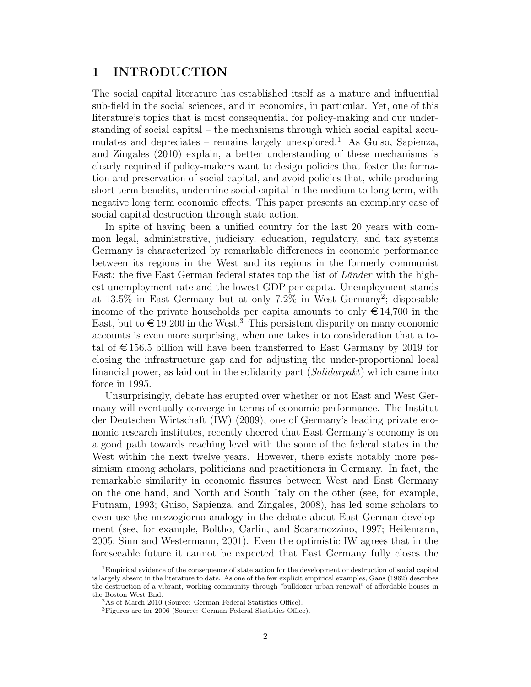# 1 INTRODUCTION

The social capital literature has established itself as a mature and influential sub-field in the social sciences, and in economics, in particular. Yet, one of this literature's topics that is most consequential for policy-making and our understanding of social capital – the mechanisms through which social capital accumulates and depreciates – remains largely unexplored.<sup>1</sup> As Guiso, Sapienza, and Zingales (2010) explain, a better understanding of these mechanisms is clearly required if policy-makers want to design policies that foster the formation and preservation of social capital, and avoid policies that, while producing short term benefits, undermine social capital in the medium to long term, with negative long term economic effects. This paper presents an exemplary case of social capital destruction through state action.

In spite of having been a unified country for the last 20 years with common legal, administrative, judiciary, education, regulatory, and tax systems Germany is characterized by remarkable differences in economic performance between its regions in the West and its regions in the formerly communist East: the five East German federal states top the list of  $Länder$  with the highest unemployment rate and the lowest GDP per capita. Unemployment stands at 13.5% in East Germany but at only 7.2% in West Germany<sup>2</sup> ; disposable income of the private households per capita amounts to only  $\in$  14,700 in the East, but to  $\in$  19,200 in the West.<sup>3</sup> This persistent disparity on many economic accounts is even more surprising, when one takes into consideration that a total of  $\epsilon$  156.5 billion will have been transferred to East Germany by 2019 for closing the infrastructure gap and for adjusting the under-proportional local financial power, as laid out in the solidarity pact (Solidarpakt) which came into force in 1995.

Unsurprisingly, debate has erupted over whether or not East and West Germany will eventually converge in terms of economic performance. The Institut der Deutschen Wirtschaft (IW) (2009), one of Germany's leading private economic research institutes, recently cheered that East Germany's economy is on a good path towards reaching level with the some of the federal states in the West within the next twelve years. However, there exists notably more pessimism among scholars, politicians and practitioners in Germany. In fact, the remarkable similarity in economic fissures between West and East Germany on the one hand, and North and South Italy on the other (see, for example, Putnam, 1993; Guiso, Sapienza, and Zingales, 2008), has led some scholars to even use the mezzogiorno analogy in the debate about East German development (see, for example, Boltho, Carlin, and Scaramozzino, 1997; Heilemann, 2005; Sinn and Westermann, 2001). Even the optimistic IW agrees that in the foreseeable future it cannot be expected that East Germany fully closes the

<sup>&</sup>lt;sup>1</sup>Empirical evidence of the consequence of state action for the development or destruction of social capital is largely absent in the literature to date. As one of the few explicit empirical examples, Gans (1962) describes the destruction of a vibrant, working community through "bulldozer urban renewal" of affordable houses in the Boston West End.

<sup>2</sup>As of March 2010 (Source: German Federal Statistics Office).

<sup>3</sup>Figures are for 2006 (Source: German Federal Statistics Office).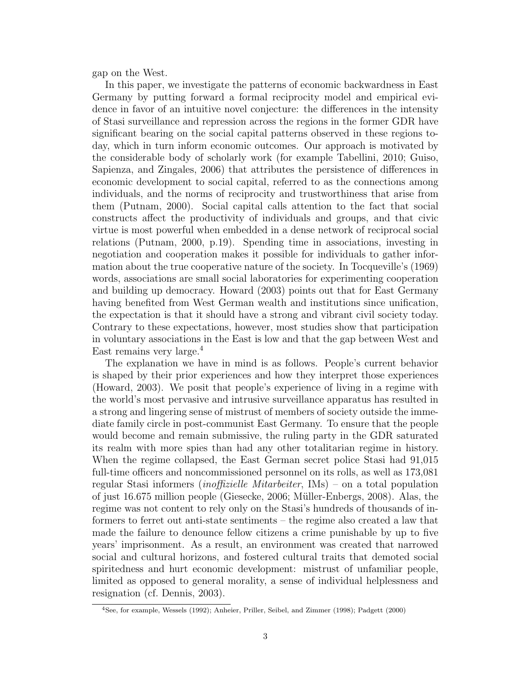gap on the West.

In this paper, we investigate the patterns of economic backwardness in East Germany by putting forward a formal reciprocity model and empirical evidence in favor of an intuitive novel conjecture: the differences in the intensity of Stasi surveillance and repression across the regions in the former GDR have significant bearing on the social capital patterns observed in these regions today, which in turn inform economic outcomes. Our approach is motivated by the considerable body of scholarly work (for example Tabellini, 2010; Guiso, Sapienza, and Zingales, 2006) that attributes the persistence of differences in economic development to social capital, referred to as the connections among individuals, and the norms of reciprocity and trustworthiness that arise from them (Putnam, 2000). Social capital calls attention to the fact that social constructs affect the productivity of individuals and groups, and that civic virtue is most powerful when embedded in a dense network of reciprocal social relations (Putnam, 2000, p.19). Spending time in associations, investing in negotiation and cooperation makes it possible for individuals to gather information about the true cooperative nature of the society. In Tocqueville's (1969) words, associations are small social laboratories for experimenting cooperation and building up democracy. Howard (2003) points out that for East Germany having benefited from West German wealth and institutions since unification, the expectation is that it should have a strong and vibrant civil society today. Contrary to these expectations, however, most studies show that participation in voluntary associations in the East is low and that the gap between West and East remains very large.<sup>4</sup>

The explanation we have in mind is as follows. People's current behavior is shaped by their prior experiences and how they interpret those experiences (Howard, 2003). We posit that people's experience of living in a regime with the world's most pervasive and intrusive surveillance apparatus has resulted in a strong and lingering sense of mistrust of members of society outside the immediate family circle in post-communist East Germany. To ensure that the people would become and remain submissive, the ruling party in the GDR saturated its realm with more spies than had any other totalitarian regime in history. When the regime collapsed, the East German secret police Stasi had 91,015 full-time officers and noncommissioned personnel on its rolls, as well as 173,081 regular Stasi informers (inoffizielle Mitarbeiter, IMs) – on a total population of just  $16.675$  million people (Giesecke, 2006; Müller-Enbergs, 2008). Alas, the regime was not content to rely only on the Stasi's hundreds of thousands of informers to ferret out anti-state sentiments – the regime also created a law that made the failure to denounce fellow citizens a crime punishable by up to five years' imprisonment. As a result, an environment was created that narrowed social and cultural horizons, and fostered cultural traits that demoted social spiritedness and hurt economic development: mistrust of unfamiliar people, limited as opposed to general morality, a sense of individual helplessness and resignation (cf. Dennis, 2003).

<sup>4</sup>See, for example, Wessels (1992); Anheier, Priller, Seibel, and Zimmer (1998); Padgett (2000)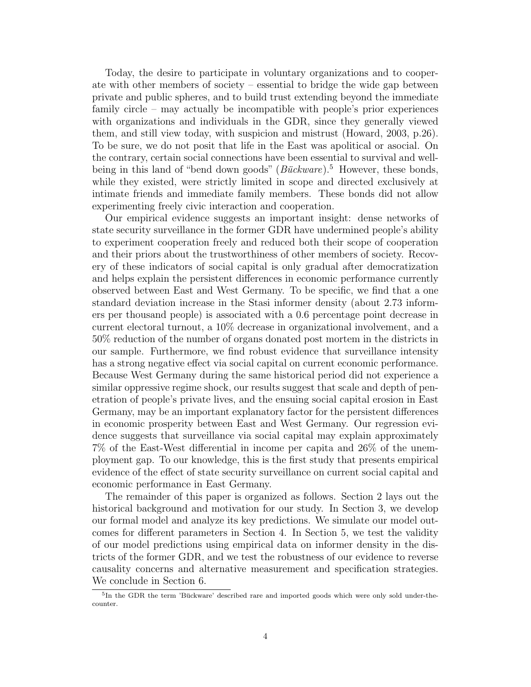Today, the desire to participate in voluntary organizations and to cooperate with other members of society – essential to bridge the wide gap between private and public spheres, and to build trust extending beyond the immediate family circle – may actually be incompatible with people's prior experiences with organizations and individuals in the GDR, since they generally viewed them, and still view today, with suspicion and mistrust (Howard, 2003, p.26). To be sure, we do not posit that life in the East was apolitical or asocial. On the contrary, certain social connections have been essential to survival and wellbeing in this land of "bend down goods" ( $B\ddot{u}ckware$ ).<sup>5</sup> However, these bonds, while they existed, were strictly limited in scope and directed exclusively at intimate friends and immediate family members. These bonds did not allow experimenting freely civic interaction and cooperation.

Our empirical evidence suggests an important insight: dense networks of state security surveillance in the former GDR have undermined people's ability to experiment cooperation freely and reduced both their scope of cooperation and their priors about the trustworthiness of other members of society. Recovery of these indicators of social capital is only gradual after democratization and helps explain the persistent differences in economic performance currently observed between East and West Germany. To be specific, we find that a one standard deviation increase in the Stasi informer density (about 2.73 informers per thousand people) is associated with a 0.6 percentage point decrease in current electoral turnout, a 10% decrease in organizational involvement, and a 50% reduction of the number of organs donated post mortem in the districts in our sample. Furthermore, we find robust evidence that surveillance intensity has a strong negative effect via social capital on current economic performance. Because West Germany during the same historical period did not experience a similar oppressive regime shock, our results suggest that scale and depth of penetration of people's private lives, and the ensuing social capital erosion in East Germany, may be an important explanatory factor for the persistent differences in economic prosperity between East and West Germany. Our regression evidence suggests that surveillance via social capital may explain approximately 7% of the East-West differential in income per capita and 26% of the unemployment gap. To our knowledge, this is the first study that presents empirical evidence of the effect of state security surveillance on current social capital and economic performance in East Germany.

The remainder of this paper is organized as follows. Section 2 lays out the historical background and motivation for our study. In Section 3, we develop our formal model and analyze its key predictions. We simulate our model outcomes for different parameters in Section 4. In Section 5, we test the validity of our model predictions using empirical data on informer density in the districts of the former GDR, and we test the robustness of our evidence to reverse causality concerns and alternative measurement and specification strategies. We conclude in Section 6.

<sup>&</sup>lt;sup>5</sup>In the GDR the term 'Bückware' described rare and imported goods which were only sold under-thecounter.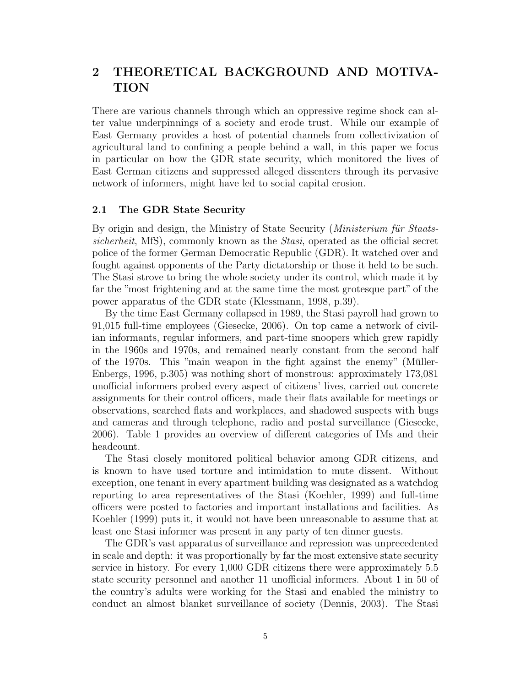# 2 THEORETICAL BACKGROUND AND MOTIVA-TION

There are various channels through which an oppressive regime shock can alter value underpinnings of a society and erode trust. While our example of East Germany provides a host of potential channels from collectivization of agricultural land to confining a people behind a wall, in this paper we focus in particular on how the GDR state security, which monitored the lives of East German citizens and suppressed alleged dissenters through its pervasive network of informers, might have led to social capital erosion.

# 2.1 The GDR State Security

By origin and design, the Ministry of State Security (*Ministerium für Staats*sicherheit, MfS), commonly known as the Stasi, operated as the official secret police of the former German Democratic Republic (GDR). It watched over and fought against opponents of the Party dictatorship or those it held to be such. The Stasi strove to bring the whole society under its control, which made it by far the "most frightening and at the same time the most grotesque part" of the power apparatus of the GDR state (Klessmann, 1998, p.39).

By the time East Germany collapsed in 1989, the Stasi payroll had grown to 91,015 full-time employees (Giesecke, 2006). On top came a network of civilian informants, regular informers, and part-time snoopers which grew rapidly in the 1960s and 1970s, and remained nearly constant from the second half of the 1970s. This "main weapon in the fight against the enemy" (Muller- ¨ Enbergs, 1996, p.305) was nothing short of monstrous: approximately 173,081 unofficial informers probed every aspect of citizens' lives, carried out concrete assignments for their control officers, made their flats available for meetings or observations, searched flats and workplaces, and shadowed suspects with bugs and cameras and through telephone, radio and postal surveillance (Giesecke, 2006). Table 1 provides an overview of different categories of IMs and their headcount.

The Stasi closely monitored political behavior among GDR citizens, and is known to have used torture and intimidation to mute dissent. Without exception, one tenant in every apartment building was designated as a watchdog reporting to area representatives of the Stasi (Koehler, 1999) and full-time officers were posted to factories and important installations and facilities. As Koehler (1999) puts it, it would not have been unreasonable to assume that at least one Stasi informer was present in any party of ten dinner guests.

The GDR's vast apparatus of surveillance and repression was unprecedented in scale and depth: it was proportionally by far the most extensive state security service in history. For every 1,000 GDR citizens there were approximately 5.5 state security personnel and another 11 unofficial informers. About 1 in 50 of the country's adults were working for the Stasi and enabled the ministry to conduct an almost blanket surveillance of society (Dennis, 2003). The Stasi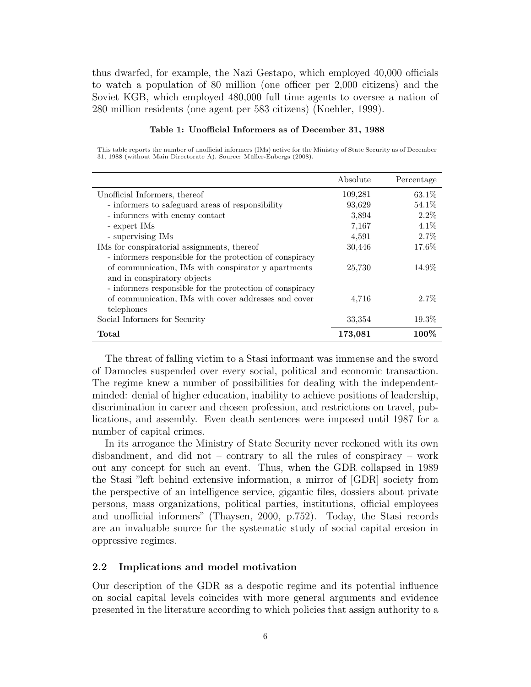thus dwarfed, for example, the Nazi Gestapo, which employed 40,000 officials to watch a population of 80 million (one officer per 2,000 citizens) and the Soviet KGB, which employed 480,000 full time agents to oversee a nation of 280 million residents (one agent per 583 citizens) (Koehler, 1999).

#### Table 1: Unofficial Informers as of December 31, 1988

This table reports the number of unofficial informers (IMs) active for the Ministry of State Security as of December 31, 1988 (without Main Directorate A). Source: Müller-Enbergs (2008).

|                                                                                                                                                | Absolute | Percentage |
|------------------------------------------------------------------------------------------------------------------------------------------------|----------|------------|
| Unofficial Informers, thereof                                                                                                                  | 109,281  | 63.1\%     |
| - informers to safeguard areas of responsibility                                                                                               | 93,629   | 54.1%      |
| - informers with enemy contact                                                                                                                 | 3,894    | $2.2\%$    |
| - expert IMs                                                                                                                                   | 7,167    | $4.1\%$    |
| - supervising IMs                                                                                                                              | 4,591    | $2.7\%$    |
| IMs for conspiratorial assignments, thereof                                                                                                    | 30,446   | 17.6%      |
| - informers responsible for the protection of conspiracy<br>of communication, IMs with conspirator y apartments<br>and in conspiratory objects | 25,730   | 14.9%      |
| - informers responsible for the protection of conspiracy<br>of communication, IMs with cover addresses and cover<br>telephones                 | 4,716    | $2.7\%$    |
| Social Informers for Security                                                                                                                  | 33,354   | $19.3\%$   |
| Total                                                                                                                                          | 173,081  | 100\%      |

The threat of falling victim to a Stasi informant was immense and the sword of Damocles suspended over every social, political and economic transaction. The regime knew a number of possibilities for dealing with the independentminded: denial of higher education, inability to achieve positions of leadership, discrimination in career and chosen profession, and restrictions on travel, publications, and assembly. Even death sentences were imposed until 1987 for a number of capital crimes.

In its arrogance the Ministry of State Security never reckoned with its own disbandment, and did not – contrary to all the rules of conspiracy – work out any concept for such an event. Thus, when the GDR collapsed in 1989 the Stasi "left behind extensive information, a mirror of [GDR] society from the perspective of an intelligence service, gigantic files, dossiers about private persons, mass organizations, political parties, institutions, official employees and unofficial informers" (Thaysen, 2000, p.752). Today, the Stasi records are an invaluable source for the systematic study of social capital erosion in oppressive regimes.

# 2.2 Implications and model motivation

Our description of the GDR as a despotic regime and its potential influence on social capital levels coincides with more general arguments and evidence presented in the literature according to which policies that assign authority to a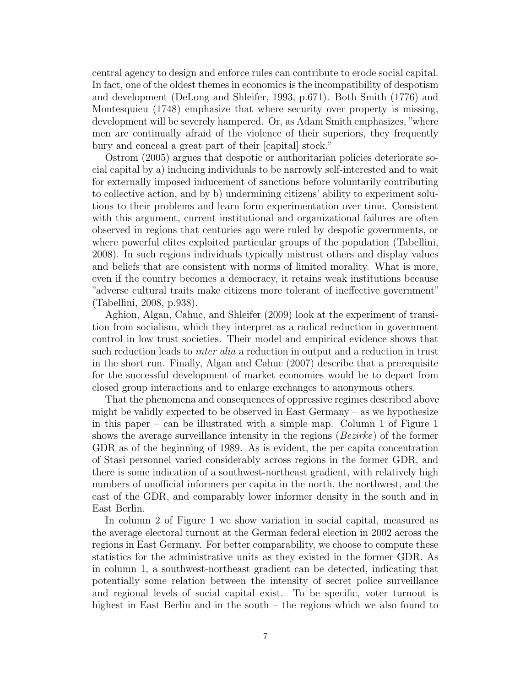central agency to design and enforce rules can contribute to erode social capital. In fact, one of the oldest themes in economics is the incompatibility of despotism and development (DeLong and Shleifer, 1993, p.671). Both Smith (1776) and Montesquieu (1748) emphasize that where security over property is missing, development will be severely hampered. Or, as Adam Smith emphasizes, "where men are continually afraid of the violence of their superiors, they frequently bury and conceal a great part of their [capital] stock."

Ostrom (2005) argues that despotic or authoritarian policies deteriorate social capital by a) inducing individuals to be narrowly self-interested and to wait for externally imposed inducement of sanctions before voluntarily contributing to collective action, and by b) undermining citizens' ability to experiment solutions to their problems and learn form experimentation over time. Consistent with this argument, current institutional and organizational failures are often observed in regions that centuries ago were ruled by despotic governments, or where powerful elites exploited particular groups of the population (Tabellini, 2008). In such regions individuals typically mistrust others and display values and beliefs that are consistent with norms of limited morality. What is more, even if the country becomes a democracy, it retains weak institutions because "adverse cultural traits make citizens more tolerant of ineffective government" (Tabellini, 2008, p.938).

Aghion, Algan, Cahuc, and Shleifer (2009) look at the experiment of transition from socialism, which they interpret as a radical reduction in government control in low trust societies. Their model and empirical evidence shows that such reduction leads to *inter alia* a reduction in output and a reduction in trust in the short run. Finally, Algan and Cahuc (2007) describe that a prerequisite for the successful development of market economies would be to depart from closed group interactions and to enlarge exchanges to anonymous others.

That the phenomena and consequences of oppressive regimes described above might be validly expected to be observed in East Germany  $-$  as we hypothesize in this paper – can be illustrated with a simple map. Column 1 of Figure 1 shows the average surveillance intensity in the regions (Bezirke) of the former GDR as of the beginning of 1989. As is evident, the per capita concentration of Stasi personnel varied considerably across regions in the former GDR, and there is some indication of a southwest-northeast gradient, with relatively high numbers of unofficial informers per capita in the north, the northwest, and the east of the GDR, and comparably lower informer density in the south and in East Berlin.

In column 2 of Figure 1 we show variation in social capital, measured as the average electoral turnout at the German federal election in 2002 across the regions in East Germany. For better comparability, we choose to compute these statistics for the administrative units as they existed in the former GDR. As in column 1, a southwest-northeast gradient can be detected, indicating that potentially some relation between the intensity of secret police surveillance and regional levels of social capital exist. To be specific, voter turnout is highest in East Berlin and in the south – the regions which we also found to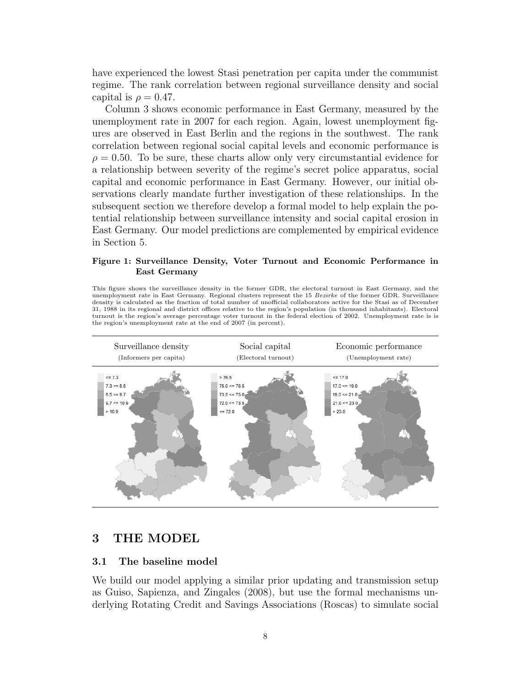have experienced the lowest Stasi penetration per capita under the communist regime. The rank correlation between regional surveillance density and social capital is  $\rho = 0.47$ .

Column 3 shows economic performance in East Germany, measured by the unemployment rate in 2007 for each region. Again, lowest unemployment figures are observed in East Berlin and the regions in the southwest. The rank correlation between regional social capital levels and economic performance is  $\rho = 0.50$ . To be sure, these charts allow only very circumstantial evidence for a relationship between severity of the regime's secret police apparatus, social capital and economic performance in East Germany. However, our initial observations clearly mandate further investigation of these relationships. In the subsequent section we therefore develop a formal model to help explain the potential relationship between surveillance intensity and social capital erosion in East Germany. Our model predictions are complemented by empirical evidence in Section 5.

## Figure 1: Surveillance Density, Voter Turnout and Economic Performance in East Germany

This figure shows the surveillance density in the former GDR, the electoral turnout in East Germany, and the unemployment rate in East Germany. Regional clusters represent the 15 Bezirke of the former GDR. Surveillance density is calculated as the fraction of total number of unofficial collaborators active for the Stasi as of December 31, 1988 in its regional and district offices relative to the region's population (in thousand inhabitants). Electoral turnout is the region's average percentage voter turnout in the federal election of 2002. Unemployment rate is is the region's unemployment rate at the end of 2007 (in percent).



# 3 THE MODEL

## 3.1 The baseline model

We build our model applying a similar prior updating and transmission setup as Guiso, Sapienza, and Zingales (2008), but use the formal mechanisms underlying Rotating Credit and Savings Associations (Roscas) to simulate social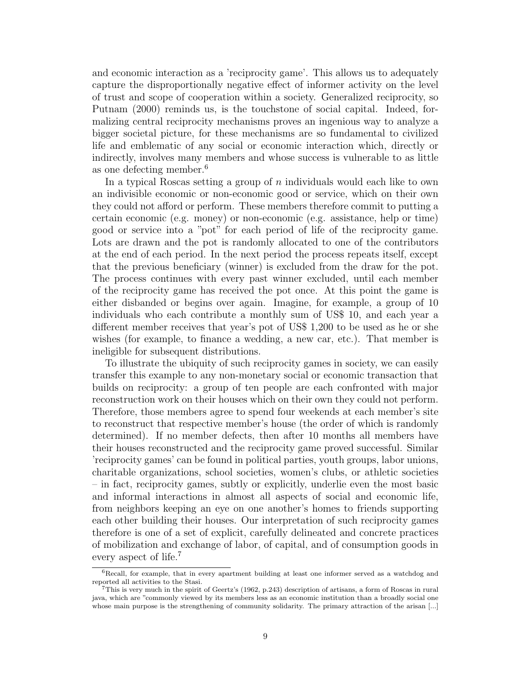and economic interaction as a 'reciprocity game'. This allows us to adequately capture the disproportionally negative effect of informer activity on the level of trust and scope of cooperation within a society. Generalized reciprocity, so Putnam (2000) reminds us, is the touchstone of social capital. Indeed, formalizing central reciprocity mechanisms proves an ingenious way to analyze a bigger societal picture, for these mechanisms are so fundamental to civilized life and emblematic of any social or economic interaction which, directly or indirectly, involves many members and whose success is vulnerable to as little as one defecting member.<sup>6</sup>

In a typical Roscas setting a group of n individuals would each like to own an indivisible economic or non-economic good or service, which on their own they could not afford or perform. These members therefore commit to putting a certain economic (e.g. money) or non-economic (e.g. assistance, help or time) good or service into a "pot" for each period of life of the reciprocity game. Lots are drawn and the pot is randomly allocated to one of the contributors at the end of each period. In the next period the process repeats itself, except that the previous beneficiary (winner) is excluded from the draw for the pot. The process continues with every past winner excluded, until each member of the reciprocity game has received the pot once. At this point the game is either disbanded or begins over again. Imagine, for example, a group of 10 individuals who each contribute a monthly sum of US\$ 10, and each year a different member receives that year's pot of US\$ 1,200 to be used as he or she wishes (for example, to finance a wedding, a new car, etc.). That member is ineligible for subsequent distributions.

To illustrate the ubiquity of such reciprocity games in society, we can easily transfer this example to any non-monetary social or economic transaction that builds on reciprocity: a group of ten people are each confronted with major reconstruction work on their houses which on their own they could not perform. Therefore, those members agree to spend four weekends at each member's site to reconstruct that respective member's house (the order of which is randomly determined). If no member defects, then after 10 months all members have their houses reconstructed and the reciprocity game proved successful. Similar 'reciprocity games' can be found in political parties, youth groups, labor unions, charitable organizations, school societies, women's clubs, or athletic societies – in fact, reciprocity games, subtly or explicitly, underlie even the most basic and informal interactions in almost all aspects of social and economic life, from neighbors keeping an eye on one another's homes to friends supporting each other building their houses. Our interpretation of such reciprocity games therefore is one of a set of explicit, carefully delineated and concrete practices of mobilization and exchange of labor, of capital, and of consumption goods in every aspect of life.<sup>7</sup>

<sup>&</sup>lt;sup>6</sup>Recall, for example, that in every apartment building at least one informer served as a watchdog and reported all activities to the Stasi.

<sup>7</sup>This is very much in the spirit of Geertz's (1962, p.243) description of artisans, a form of Roscas in rural java, which are "commonly viewed by its members less as an economic institution than a broadly social one whose main purpose is the strengthening of community solidarity. The primary attraction of the arisan [...]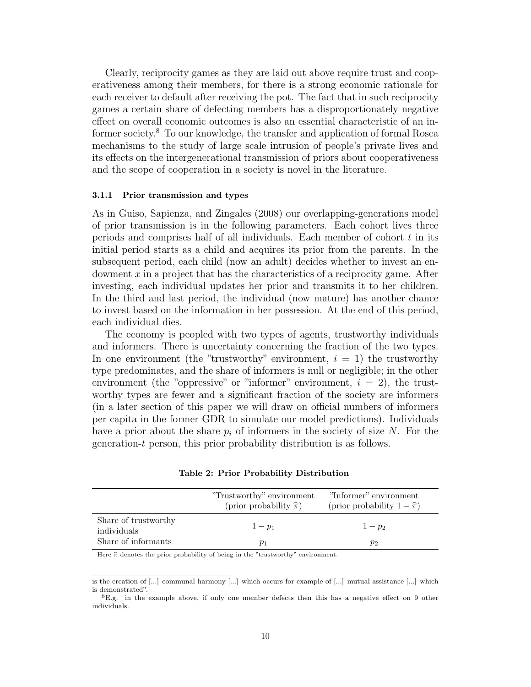Clearly, reciprocity games as they are laid out above require trust and cooperativeness among their members, for there is a strong economic rationale for each receiver to default after receiving the pot. The fact that in such reciprocity games a certain share of defecting members has a disproportionately negative effect on overall economic outcomes is also an essential characteristic of an informer society.<sup>8</sup> To our knowledge, the transfer and application of formal Rosca mechanisms to the study of large scale intrusion of people's private lives and its effects on the intergenerational transmission of priors about cooperativeness and the scope of cooperation in a society is novel in the literature.

#### 3.1.1 Prior transmission and types

As in Guiso, Sapienza, and Zingales (2008) our overlapping-generations model of prior transmission is in the following parameters. Each cohort lives three periods and comprises half of all individuals. Each member of cohort  $t$  in its initial period starts as a child and acquires its prior from the parents. In the subsequent period, each child (now an adult) decides whether to invest an endowment  $x$  in a project that has the characteristics of a reciprocity game. After investing, each individual updates her prior and transmits it to her children. In the third and last period, the individual (now mature) has another chance to invest based on the information in her possession. At the end of this period, each individual dies.

The economy is peopled with two types of agents, trustworthy individuals and informers. There is uncertainty concerning the fraction of the two types. In one environment (the "trustworthy" environment,  $i = 1$ ) the trustworthy type predominates, and the share of informers is null or negligible; in the other environment (the "oppressive" or "informer" environment,  $i = 2$ ), the trustworthy types are fewer and a significant fraction of the society are informers (in a later section of this paper we will draw on official numbers of informers per capita in the former GDR to simulate our model predictions). Individuals have a prior about the share  $p_i$  of informers in the society of size N. For the generation-t person, this prior probability distribution is as follows.

|                                     | "Trustworthy" environment<br>(prior probability $\hat{\pi}$ ) | "Informer" environment<br>(prior probability $1-\hat{\pi}$ ) |
|-------------------------------------|---------------------------------------------------------------|--------------------------------------------------------------|
| Share of trustworthy<br>individuals | $1-p_1$                                                       | $1-p_2$                                                      |
| Share of informants                 | $p_1$                                                         | $p_2$                                                        |

#### Table 2: Prior Probability Distribution

Here  $\hat{\pi}$  denotes the prior probability of being in the "trustworthy" environment.

is the creation of [...] communal harmony [...] which occurs for example of [...] mutual assistance [...] which is demonstrated".

<sup>8</sup>E.g. in the example above, if only one member defects then this has a negative effect on 9 other individuals.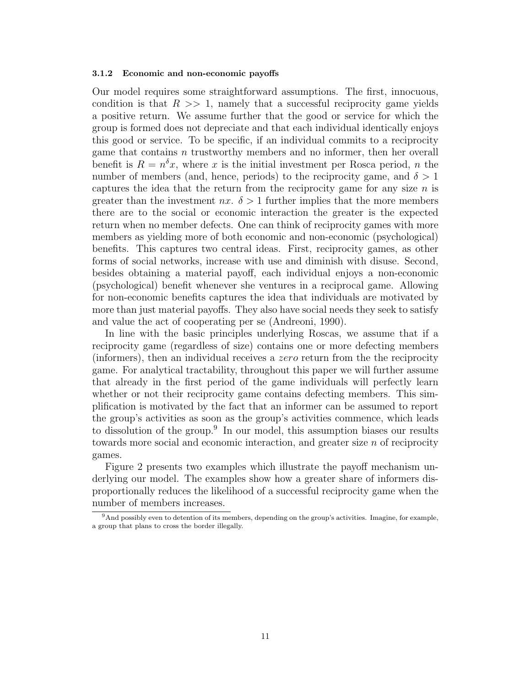#### 3.1.2 Economic and non-economic payoffs

Our model requires some straightforward assumptions. The first, innocuous, condition is that  $R \gg 1$ , namely that a successful reciprocity game yields a positive return. We assume further that the good or service for which the group is formed does not depreciate and that each individual identically enjoys this good or service. To be specific, if an individual commits to a reciprocity game that contains  $n$  trustworthy members and no informer, then her overall benefit is  $R = n^{\delta}x$ , where x is the initial investment per Rosca period, n the number of members (and, hence, periods) to the reciprocity game, and  $\delta > 1$ captures the idea that the return from the reciprocity game for any size  $n$  is greater than the investment  $nx$ .  $\delta > 1$  further implies that the more members there are to the social or economic interaction the greater is the expected return when no member defects. One can think of reciprocity games with more members as yielding more of both economic and non-economic (psychological) benefits. This captures two central ideas. First, reciprocity games, as other forms of social networks, increase with use and diminish with disuse. Second, besides obtaining a material payoff, each individual enjoys a non-economic (psychological) benefit whenever she ventures in a reciprocal game. Allowing for non-economic benefits captures the idea that individuals are motivated by more than just material payoffs. They also have social needs they seek to satisfy and value the act of cooperating per se (Andreoni, 1990).

In line with the basic principles underlying Roscas, we assume that if a reciprocity game (regardless of size) contains one or more defecting members (informers), then an individual receives a zero return from the the reciprocity game. For analytical tractability, throughout this paper we will further assume that already in the first period of the game individuals will perfectly learn whether or not their reciprocity game contains defecting members. This simplification is motivated by the fact that an informer can be assumed to report the group's activities as soon as the group's activities commence, which leads to dissolution of the group.<sup>9</sup> In our model, this assumption biases our results towards more social and economic interaction, and greater size n of reciprocity games.

Figure 2 presents two examples which illustrate the payoff mechanism underlying our model. The examples show how a greater share of informers disproportionally reduces the likelihood of a successful reciprocity game when the number of members increases.

 $9$ And possibly even to detention of its members, depending on the group's activities. Imagine, for example, a group that plans to cross the border illegally.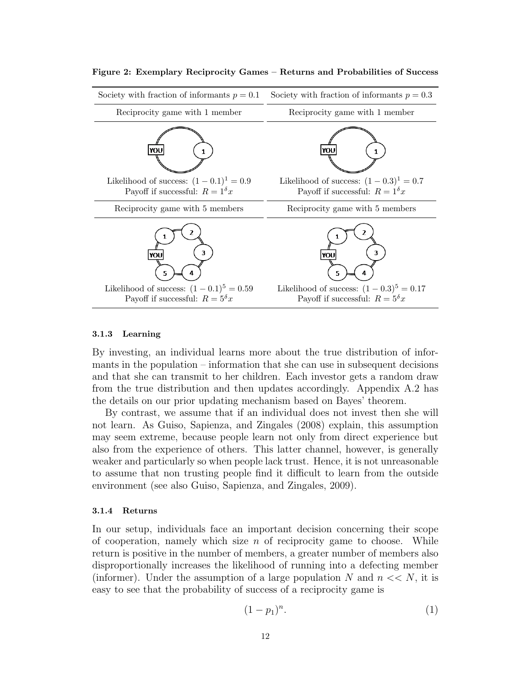

### Figure 2: Exemplary Reciprocity Games – Returns and Probabilities of Success

### 3.1.3 Learning

By investing, an individual learns more about the true distribution of informants in the population – information that she can use in subsequent decisions and that she can transmit to her children. Each investor gets a random draw from the true distribution and then updates accordingly. Appendix A.2 has the details on our prior updating mechanism based on Bayes' theorem.

By contrast, we assume that if an individual does not invest then she will not learn. As Guiso, Sapienza, and Zingales (2008) explain, this assumption may seem extreme, because people learn not only from direct experience but also from the experience of others. This latter channel, however, is generally weaker and particularly so when people lack trust. Hence, it is not unreasonable to assume that non trusting people find it difficult to learn from the outside environment (see also Guiso, Sapienza, and Zingales, 2009).

#### 3.1.4 Returns

In our setup, individuals face an important decision concerning their scope of cooperation, namely which size  $n$  of reciprocity game to choose. While return is positive in the number of members, a greater number of members also disproportionally increases the likelihood of running into a defecting member (informer). Under the assumption of a large population N and  $n \ll N$ , it is easy to see that the probability of success of a reciprocity game is

$$
(1-p_1)^n.\t\t(1)
$$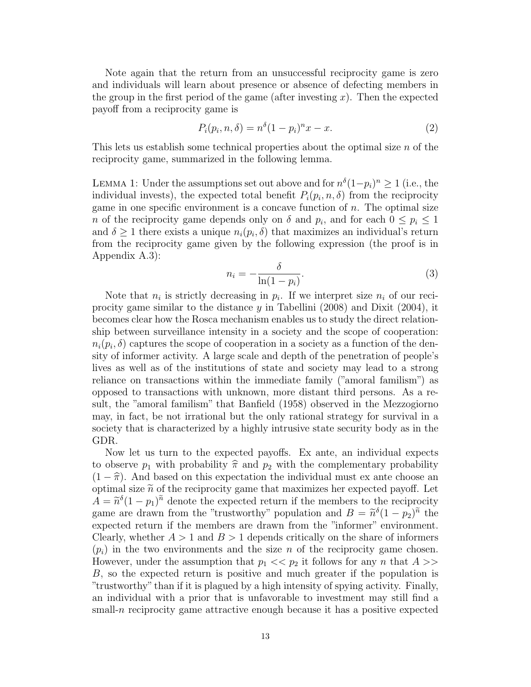Note again that the return from an unsuccessful reciprocity game is zero and individuals will learn about presence or absence of defecting members in the group in the first period of the game (after investing  $x$ ). Then the expected payoff from a reciprocity game is

$$
P_i(p_i, n, \delta) = n^{\delta} (1 - p_i)^n x - x.
$$
\n
$$
(2)
$$

This lets us establish some technical properties about the optimal size  $n$  of the reciprocity game, summarized in the following lemma.

LEMMA 1: Under the assumptions set out above and for  $n^{\delta}(1-p_i)^n \geq 1$  (i.e., the individual invests), the expected total benefit  $P_i(p_i, n, \delta)$  from the reciprocity game in one specific environment is a concave function of  $n$ . The optimal size *n* of the reciprocity game depends only on  $\delta$  and  $p_i$ , and for each  $0 \leq p_i \leq 1$ and  $\delta \geq 1$  there exists a unique  $n_i(p_i, \delta)$  that maximizes an individual's return from the reciprocity game given by the following expression (the proof is in Appendix A.3):

$$
n_i = -\frac{\delta}{\ln(1 - p_i)}.\tag{3}
$$

Note that  $n_i$  is strictly decreasing in  $p_i$ . If we interpret size  $n_i$  of our reciprocity game similar to the distance y in Tabellini (2008) and Dixit (2004), it becomes clear how the Rosca mechanism enables us to study the direct relationship between surveillance intensity in a society and the scope of cooperation:  $n_i(p_i, \delta)$  captures the scope of cooperation in a society as a function of the density of informer activity. A large scale and depth of the penetration of people's lives as well as of the institutions of state and society may lead to a strong reliance on transactions within the immediate family ("amoral familism") as opposed to transactions with unknown, more distant third persons. As a result, the "amoral familism" that Banfield (1958) observed in the Mezzogiorno may, in fact, be not irrational but the only rational strategy for survival in a society that is characterized by a highly intrusive state security body as in the GDR.

Now let us turn to the expected payoffs. Ex ante, an individual expects to observe  $p_1$  with probability  $\hat{\pi}$  and  $p_2$  with the complementary probability  $(1 - \hat{\pi})$ . And based on this expectation the individual must ex ante choose an optimal size  $\tilde{n}$  of the reciprocity game that maximizes her expected payoff. Let  $A = \tilde{n}^{\delta}(1-p_1)^{\tilde{n}}$  denote the expected return if the members to the reciprocity<br>game are drawn from the "trustworthy" population and  $B = \tilde{n}^{\delta}(1-p_1)^{\tilde{n}}$  the game are drawn from the "trustworthy" population and  $B = \tilde{n}^{\delta}(1-p_2)^{\tilde{n}}$  the expected return if the mombers are drawn from the "informer" environment expected return if the members are drawn from the "informer" environment. Clearly, whether  $A > 1$  and  $B > 1$  depends critically on the share of informers  $(p_i)$  in the two environments and the size n of the reciprocity game chosen. However, under the assumption that  $p_1 \ll p_2$  it follows for any n that  $A \gg$ B, so the expected return is positive and much greater if the population is "trustworthy" than if it is plagued by a high intensity of spying activity. Finally, an individual with a prior that is unfavorable to investment may still find a small-n reciprocity game attractive enough because it has a positive expected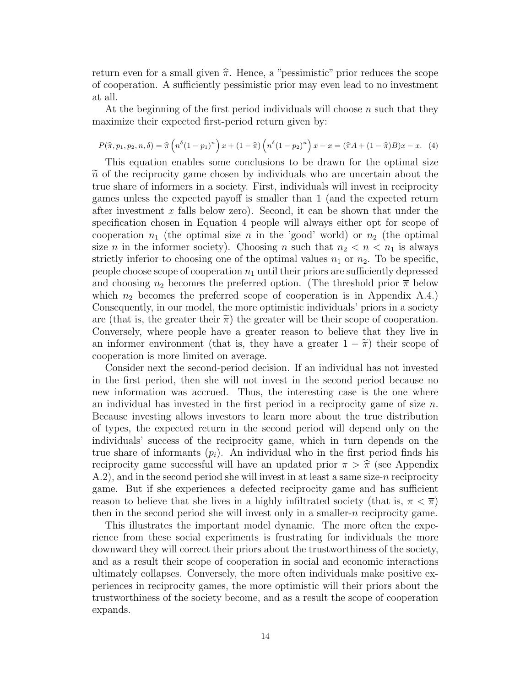return even for a small given  $\hat{\pi}$ . Hence, a "pessimistic" prior reduces the scope of cooperation. A sufficiently pessimistic prior may even lead to no investment at all.

At the beginning of the first period individuals will choose  $n$  such that they maximize their expected first-period return given by:

$$
P(\hat{\pi}, p_1, p_2, n, \delta) = \hat{\pi} \left( n^{\delta} (1 - p_1)^n \right) x + (1 - \hat{\pi}) \left( n^{\delta} (1 - p_2)^n \right) x - x = (\hat{\pi} A + (1 - \hat{\pi}) B) x - x. \tag{4}
$$

This equation enables some conclusions to be drawn for the optimal size  $\tilde{n}$  of the reciprocity game chosen by individuals who are uncertain about the true share of informers in a society. First, individuals will invest in reciprocity games unless the expected payoff is smaller than 1 (and the expected return after investment  $x$  falls below zero). Second, it can be shown that under the specification chosen in Equation 4 people will always either opt for scope of cooperation  $n_1$  (the optimal size n in the 'good' world) or  $n_2$  (the optimal size *n* in the informer society). Choosing *n* such that  $n_2 < n < n_1$  is always strictly inferior to choosing one of the optimal values  $n_1$  or  $n_2$ . To be specific, people choose scope of cooperation  $n_1$  until their priors are sufficiently depressed and choosing  $n_2$  becomes the preferred option. (The threshold prior  $\bar{\pi}$  below which  $n_2$  becomes the preferred scope of cooperation is in Appendix A.4.) Consequently, in our model, the more optimistic individuals' priors in a society are (that is, the greater their  $\tilde{\pi}$ ) the greater will be their scope of cooperation. Conversely, where people have a greater reason to believe that they live in an informer environment (that is, they have a greater  $1 - \tilde{\pi}$ ) their scope of cooperation is more limited on average.

Consider next the second-period decision. If an individual has not invested in the first period, then she will not invest in the second period because no new information was accrued. Thus, the interesting case is the one where an individual has invested in the first period in a reciprocity game of size  $n$ . Because investing allows investors to learn more about the true distribution of types, the expected return in the second period will depend only on the individuals' success of the reciprocity game, which in turn depends on the true share of informants  $(p_i)$ . An individual who in the first period finds his reciprocity game successful will have an updated prior  $\pi > \hat{\pi}$  (see Appendix) A.2), and in the second period she will invest in at least a same size-n reciprocity game. But if she experiences a defected reciprocity game and has sufficient reason to believe that she lives in a highly infiltrated society (that is,  $\pi < \pi$ ) then in the second period she will invest only in a smaller-n reciprocity game.

This illustrates the important model dynamic. The more often the experience from these social experiments is frustrating for individuals the more downward they will correct their priors about the trustworthiness of the society, and as a result their scope of cooperation in social and economic interactions ultimately collapses. Conversely, the more often individuals make positive experiences in reciprocity games, the more optimistic will their priors about the trustworthiness of the society become, and as a result the scope of cooperation expands.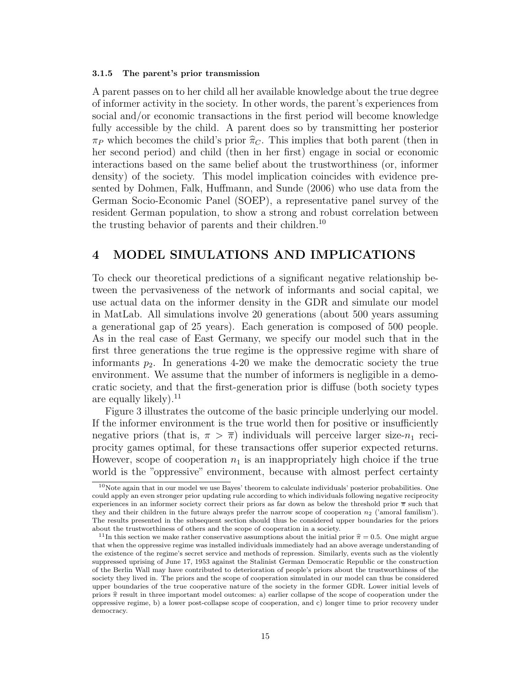### 3.1.5 The parent's prior transmission

A parent passes on to her child all her available knowledge about the true degree of informer activity in the society. In other words, the parent's experiences from social and/or economic transactions in the first period will become knowledge fully accessible by the child. A parent does so by transmitting her posterior  $\pi_P$  which becomes the child's prior  $\hat{\pi}_C$ . This implies that both parent (then in her second period) and child (then in her first) engage in social or economic interactions based on the same belief about the trustworthiness (or, informer density) of the society. This model implication coincides with evidence presented by Dohmen, Falk, Huffmann, and Sunde (2006) who use data from the German Socio-Economic Panel (SOEP), a representative panel survey of the resident German population, to show a strong and robust correlation between the trusting behavior of parents and their children.<sup>10</sup>

# 4 MODEL SIMULATIONS AND IMPLICATIONS

To check our theoretical predictions of a significant negative relationship between the pervasiveness of the network of informants and social capital, we use actual data on the informer density in the GDR and simulate our model in MatLab. All simulations involve 20 generations (about 500 years assuming a generational gap of 25 years). Each generation is composed of 500 people. As in the real case of East Germany, we specify our model such that in the first three generations the true regime is the oppressive regime with share of informants  $p_2$ . In generations 4-20 we make the democratic society the true environment. We assume that the number of informers is negligible in a democratic society, and that the first-generation prior is diffuse (both society types are equally likely). $^{11}$ 

Figure 3 illustrates the outcome of the basic principle underlying our model. If the informer environment is the true world then for positive or insufficiently negative priors (that is,  $\pi > \overline{\pi}$ ) individuals will perceive larger size- $n_1$  reciprocity games optimal, for these transactions offer superior expected returns. However, scope of cooperation  $n_1$  is an inappropriately high choice if the true world is the "oppressive" environment, because with almost perfect certainty

<sup>10</sup>Note again that in our model we use Bayes' theorem to calculate individuals' posterior probabilities. One could apply an even stronger prior updating rule according to which individuals following negative reciprocity experiences in an informer society correct their priors as far down as below the threshold prior  $\bar{\pi}$  such that they and their children in the future always prefer the narrow scope of cooperation  $n_2$  ('amoral familism'). The results presented in the subsequent section should thus be considered upper boundaries for the priors about the trustworthiness of others and the scope of cooperation in a society.

<sup>&</sup>lt;sup>11</sup>In this section we make rather conservative assumptions about the initial prior  $\hat{\pi} = 0.5$ . One might argue that when the oppressive regime was installed individuals immediately had an above average understanding of the existence of the regime's secret service and methods of repression. Similarly, events such as the violently suppressed uprising of June 17, 1953 against the Stalinist German Democratic Republic or the construction of the Berlin Wall may have contributed to deterioration of people's priors about the trustworthiness of the society they lived in. The priors and the scope of cooperation simulated in our model can thus be considered upper boundaries of the true cooperative nature of the society in the former GDR. Lower initial levels of priors  $\hat{\pi}$  result in three important model outcomes: a) earlier collapse of the scope of cooperation under the oppressive regime, b) a lower post-collapse scope of cooperation, and c) longer time to prior recovery under democracy.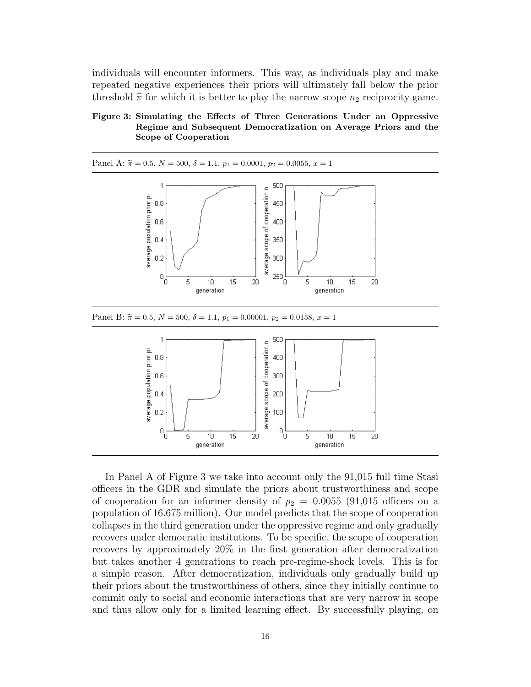individuals will encounter informers. This way, as individuals play and make repeated negative experiences their priors will ultimately fall below the prior threshold  $\hat{\pi}$  for which it is better to play the narrow scope  $n_2$  reciprocity game.

## Figure 3: Simulating the Effects of Three Generations Under an Oppressive Regime and Subsequent Democratization on Average Priors and the Scope of Cooperation



In Panel A of Figure 3 we take into account only the 91,015 full time Stasi officers in the GDR and simulate the priors about trustworthiness and scope of cooperation for an informer density of  $p_2 = 0.0055$  (91,015 officers on a population of 16.675 million). Our model predicts that the scope of cooperation collapses in the third generation under the oppressive regime and only gradually recovers under democratic institutions. To be specific, the scope of cooperation recovers by approximately 20% in the first generation after democratization but takes another 4 generations to reach pre-regime-shock levels. This is for a simple reason. After democratization, individuals only gradually build up their priors about the trustworthiness of others, since they initially continue to commit only to social and economic interactions that are very narrow in scope and thus allow only for a limited learning effect. By successfully playing, on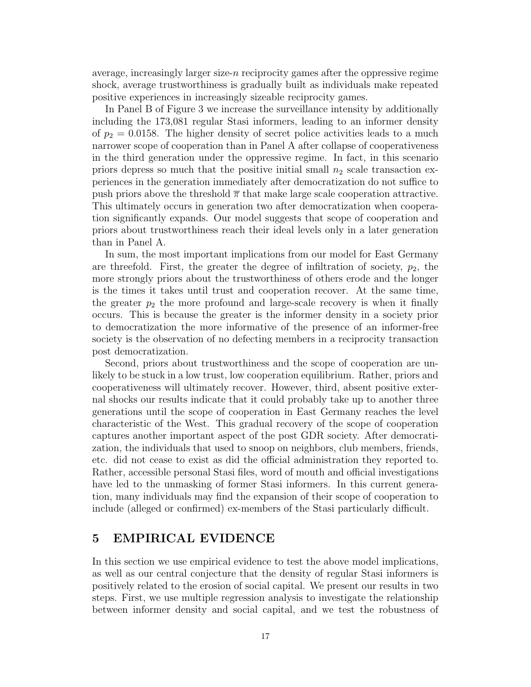average, increasingly larger size-n reciprocity games after the oppressive regime shock, average trustworthiness is gradually built as individuals make repeated positive experiences in increasingly sizeable reciprocity games.

In Panel B of Figure 3 we increase the surveillance intensity by additionally including the 173,081 regular Stasi informers, leading to an informer density of  $p_2 = 0.0158$ . The higher density of secret police activities leads to a much narrower scope of cooperation than in Panel A after collapse of cooperativeness in the third generation under the oppressive regime. In fact, in this scenario priors depress so much that the positive initial small  $n_2$  scale transaction experiences in the generation immediately after democratization do not suffice to push priors above the threshold  $\bar{\pi}$  that make large scale cooperation attractive. This ultimately occurs in generation two after democratization when cooperation significantly expands. Our model suggests that scope of cooperation and priors about trustworthiness reach their ideal levels only in a later generation than in Panel A.

In sum, the most important implications from our model for East Germany are threefold. First, the greater the degree of infiltration of society,  $p_2$ , the more strongly priors about the trustworthiness of others erode and the longer is the times it takes until trust and cooperation recover. At the same time, the greater  $p_2$  the more profound and large-scale recovery is when it finally occurs. This is because the greater is the informer density in a society prior to democratization the more informative of the presence of an informer-free society is the observation of no defecting members in a reciprocity transaction post democratization.

Second, priors about trustworthiness and the scope of cooperation are unlikely to be stuck in a low trust, low cooperation equilibrium. Rather, priors and cooperativeness will ultimately recover. However, third, absent positive external shocks our results indicate that it could probably take up to another three generations until the scope of cooperation in East Germany reaches the level characteristic of the West. This gradual recovery of the scope of cooperation captures another important aspect of the post GDR society. After democratization, the individuals that used to snoop on neighbors, club members, friends, etc. did not cease to exist as did the official administration they reported to. Rather, accessible personal Stasi files, word of mouth and official investigations have led to the unmasking of former Stasi informers. In this current generation, many individuals may find the expansion of their scope of cooperation to include (alleged or confirmed) ex-members of the Stasi particularly difficult.

# 5 EMPIRICAL EVIDENCE

In this section we use empirical evidence to test the above model implications, as well as our central conjecture that the density of regular Stasi informers is positively related to the erosion of social capital. We present our results in two steps. First, we use multiple regression analysis to investigate the relationship between informer density and social capital, and we test the robustness of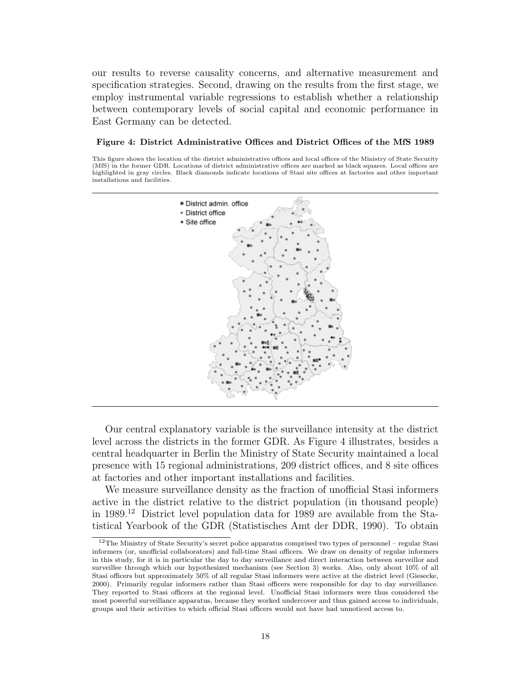our results to reverse causality concerns, and alternative measurement and specification strategies. Second, drawing on the results from the first stage, we employ instrumental variable regressions to establish whether a relationship between contemporary levels of social capital and economic performance in East Germany can be detected.

#### Figure 4: District Administrative Offices and District Offices of the MfS 1989

This figure shows the location of the district administrative offices and local offices of the Ministry of State Security (MfS) in the former GDR. Locations of district administrative offices are marked as black squares. Local offices are highlighted in gray circles. Black diamonds indicate locations of Stasi site offices at factories and other important installations and facilities.



Our central explanatory variable is the surveillance intensity at the district level across the districts in the former GDR. As Figure 4 illustrates, besides a central headquarter in Berlin the Ministry of State Security maintained a local presence with 15 regional administrations, 209 district offices, and 8 site offices at factories and other important installations and facilities.

We measure surveillance density as the fraction of unofficial Stasi informers active in the district relative to the district population (in thousand people) in 1989.<sup>12</sup> District level population data for 1989 are available from the Statistical Yearbook of the GDR (Statistisches Amt der DDR, 1990). To obtain

<sup>12</sup>The Ministry of State Security's secret police apparatus comprised two types of personnel – regular Stasi informers (or, unofficial collaborators) and full-time Stasi officers. We draw on density of regular informers in this study, for it is in particular the day to day surveillance and direct interaction between surveillor and surveillee through which our hypothesized mechanism (see Section 3) works. Also, only about 10% of all Stasi officers but approximately 50% of all regular Stasi informers were active at the district level (Giesecke, 2000). Primarily regular informers rather than Stasi officers were responsible for day to day surveillance. They reported to Stasi officers at the regional level. Unofficial Stasi informers were thus considered the most powerful surveillance apparatus, because they worked undercover and thus gained access to individuals, groups and their activities to which official Stasi officers would not have had unnoticed access to.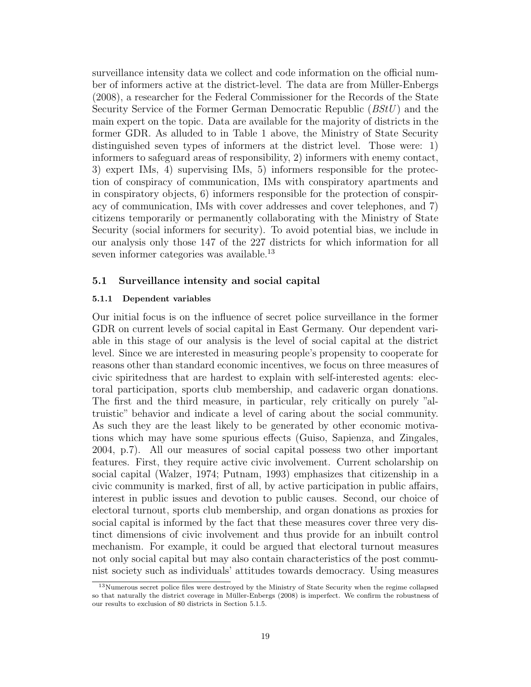surveillance intensity data we collect and code information on the official number of informers active at the district-level. The data are from Müller-Enbergs (2008), a researcher for the Federal Commissioner for the Records of the State Security Service of the Former German Democratic Republic (BStU ) and the main expert on the topic. Data are available for the majority of districts in the former GDR. As alluded to in Table 1 above, the Ministry of State Security distinguished seven types of informers at the district level. Those were: 1) informers to safeguard areas of responsibility, 2) informers with enemy contact, 3) expert IMs, 4) supervising IMs, 5) informers responsible for the protection of conspiracy of communication, IMs with conspiratory apartments and in conspiratory objects, 6) informers responsible for the protection of conspiracy of communication, IMs with cover addresses and cover telephones, and 7) citizens temporarily or permanently collaborating with the Ministry of State Security (social informers for security). To avoid potential bias, we include in our analysis only those 147 of the 227 districts for which information for all seven informer categories was available.<sup>13</sup>

# 5.1 Surveillance intensity and social capital

## 5.1.1 Dependent variables

Our initial focus is on the influence of secret police surveillance in the former GDR on current levels of social capital in East Germany. Our dependent variable in this stage of our analysis is the level of social capital at the district level. Since we are interested in measuring people's propensity to cooperate for reasons other than standard economic incentives, we focus on three measures of civic spiritedness that are hardest to explain with self-interested agents: electoral participation, sports club membership, and cadaveric organ donations. The first and the third measure, in particular, rely critically on purely "altruistic" behavior and indicate a level of caring about the social community. As such they are the least likely to be generated by other economic motivations which may have some spurious effects (Guiso, Sapienza, and Zingales, 2004, p.7). All our measures of social capital possess two other important features. First, they require active civic involvement. Current scholarship on social capital (Walzer, 1974; Putnam, 1993) emphasizes that citizenship in a civic community is marked, first of all, by active participation in public affairs, interest in public issues and devotion to public causes. Second, our choice of electoral turnout, sports club membership, and organ donations as proxies for social capital is informed by the fact that these measures cover three very distinct dimensions of civic involvement and thus provide for an inbuilt control mechanism. For example, it could be argued that electoral turnout measures not only social capital but may also contain characteristics of the post communist society such as individuals' attitudes towards democracy. Using measures

<sup>13</sup>Numerous secret police files were destroyed by the Ministry of State Security when the regime collapsed so that naturally the district coverage in Müller-Enbergs (2008) is imperfect. We confirm the robustness of our results to exclusion of 80 districts in Section 5.1.5.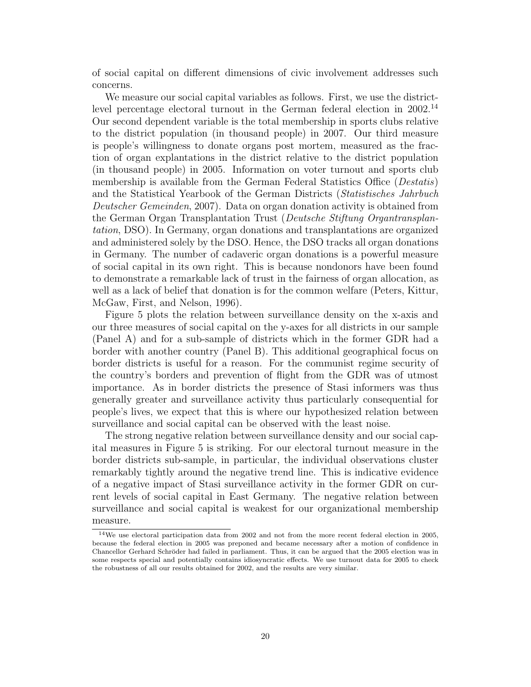of social capital on different dimensions of civic involvement addresses such concerns.

We measure our social capital variables as follows. First, we use the districtlevel percentage electoral turnout in the German federal election in 2002.<sup>14</sup> Our second dependent variable is the total membership in sports clubs relative to the district population (in thousand people) in 2007. Our third measure is people's willingness to donate organs post mortem, measured as the fraction of organ explantations in the district relative to the district population (in thousand people) in 2005. Information on voter turnout and sports club membership is available from the German Federal Statistics Office (Destatis) and the Statistical Yearbook of the German Districts (Statistisches Jahrbuch Deutscher Gemeinden, 2007). Data on organ donation activity is obtained from the German Organ Transplantation Trust (Deutsche Stiftung Organtransplantation, DSO). In Germany, organ donations and transplantations are organized and administered solely by the DSO. Hence, the DSO tracks all organ donations in Germany. The number of cadaveric organ donations is a powerful measure of social capital in its own right. This is because nondonors have been found to demonstrate a remarkable lack of trust in the fairness of organ allocation, as well as a lack of belief that donation is for the common welfare (Peters, Kittur, McGaw, First, and Nelson, 1996).

Figure 5 plots the relation between surveillance density on the x-axis and our three measures of social capital on the y-axes for all districts in our sample (Panel A) and for a sub-sample of districts which in the former GDR had a border with another country (Panel B). This additional geographical focus on border districts is useful for a reason. For the communist regime security of the country's borders and prevention of flight from the GDR was of utmost importance. As in border districts the presence of Stasi informers was thus generally greater and surveillance activity thus particularly consequential for people's lives, we expect that this is where our hypothesized relation between surveillance and social capital can be observed with the least noise.

The strong negative relation between surveillance density and our social capital measures in Figure 5 is striking. For our electoral turnout measure in the border districts sub-sample, in particular, the individual observations cluster remarkably tightly around the negative trend line. This is indicative evidence of a negative impact of Stasi surveillance activity in the former GDR on current levels of social capital in East Germany. The negative relation between surveillance and social capital is weakest for our organizational membership measure.

<sup>14</sup>We use electoral participation data from 2002 and not from the more recent federal election in 2005, because the federal election in 2005 was preponed and became necessary after a motion of confidence in Chancellor Gerhard Schröder had failed in parliament. Thus, it can be argued that the 2005 election was in some respects special and potentially contains idiosyncratic effects. We use turnout data for 2005 to check the robustness of all our results obtained for 2002, and the results are very similar.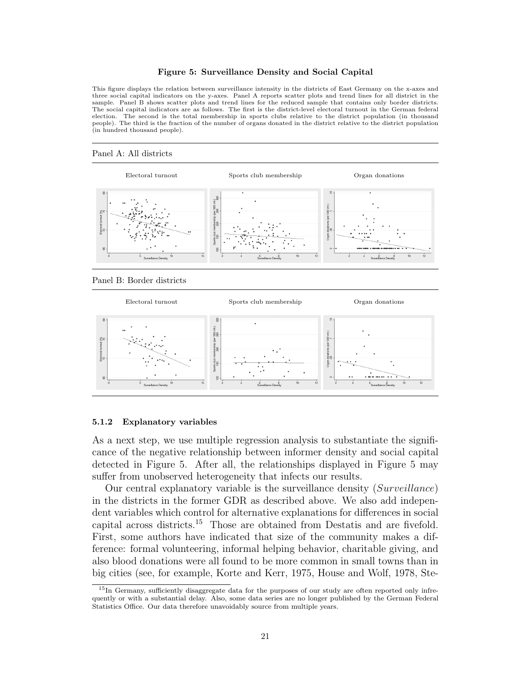#### Figure 5: Surveillance Density and Social Capital

This figure displays the relation between surveillance intensity in the districts of East Germany on the x-axes and three social capital indicators on the y-axes. Panel A reports scatter plots and trend lines for all district in the sample. Panel B shows scatter plots and trend lines for the reduced sample that contains only border districts.<br>The social capital indicators are as follows. The first is the district-level electoral turnout in the German election. The second is the total membership in sports clubs relative to the district population (in thousand people). The third is the fraction of the number of organs donated in the district relative to the district population (in hundred thousand people).

#### Panel A: All districts



Panel B: Border districts



#### 5.1.2 Explanatory variables

As a next step, we use multiple regression analysis to substantiate the significance of the negative relationship between informer density and social capital detected in Figure 5. After all, the relationships displayed in Figure 5 may suffer from unobserved heterogeneity that infects our results.

Our central explanatory variable is the surveillance density (Surveillance) in the districts in the former GDR as described above. We also add independent variables which control for alternative explanations for differences in social capital across districts.<sup>15</sup> Those are obtained from Destatis and are fivefold. First, some authors have indicated that size of the community makes a difference: formal volunteering, informal helping behavior, charitable giving, and also blood donations were all found to be more common in small towns than in big cities (see, for example, Korte and Kerr, 1975, House and Wolf, 1978, Ste-

<sup>&</sup>lt;sup>15</sup>In Germany, sufficiently disaggregate data for the purposes of our study are often reported only infrequently or with a substantial delay. Also, some data series are no longer published by the German Federal Statistics Office. Our data therefore unavoidably source from multiple years.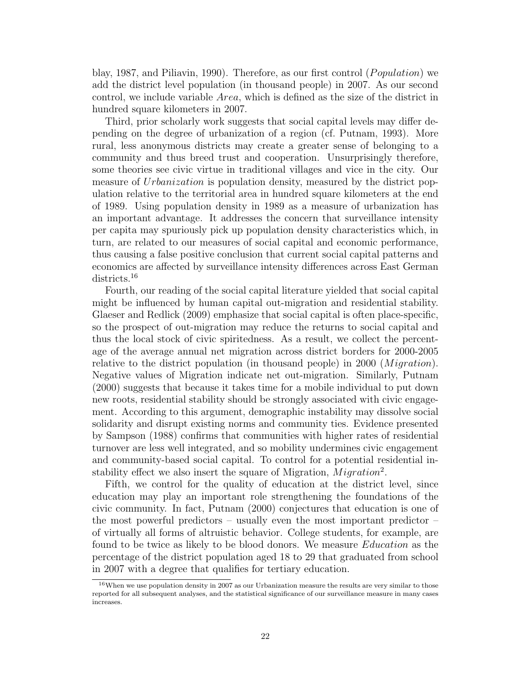blay, 1987, and Piliavin, 1990). Therefore, as our first control  $(Population)$  we add the district level population (in thousand people) in 2007. As our second control, we include variable Area, which is defined as the size of the district in hundred square kilometers in 2007.

Third, prior scholarly work suggests that social capital levels may differ depending on the degree of urbanization of a region (cf. Putnam, 1993). More rural, less anonymous districts may create a greater sense of belonging to a community and thus breed trust and cooperation. Unsurprisingly therefore, some theories see civic virtue in traditional villages and vice in the city. Our measure of Urbanization is population density, measured by the district population relative to the territorial area in hundred square kilometers at the end of 1989. Using population density in 1989 as a measure of urbanization has an important advantage. It addresses the concern that surveillance intensity per capita may spuriously pick up population density characteristics which, in turn, are related to our measures of social capital and economic performance, thus causing a false positive conclusion that current social capital patterns and economics are affected by surveillance intensity differences across East German districts.<sup>16</sup>

Fourth, our reading of the social capital literature yielded that social capital might be influenced by human capital out-migration and residential stability. Glaeser and Redlick (2009) emphasize that social capital is often place-specific, so the prospect of out-migration may reduce the returns to social capital and thus the local stock of civic spiritedness. As a result, we collect the percentage of the average annual net migration across district borders for 2000-2005 relative to the district population (in thousand people) in 2000 ( $Migration$ ). Negative values of Migration indicate net out-migration. Similarly, Putnam (2000) suggests that because it takes time for a mobile individual to put down new roots, residential stability should be strongly associated with civic engagement. According to this argument, demographic instability may dissolve social solidarity and disrupt existing norms and community ties. Evidence presented by Sampson (1988) confirms that communities with higher rates of residential turnover are less well integrated, and so mobility undermines civic engagement and community-based social capital. To control for a potential residential instability effect we also insert the square of Migration,  $Migration^2$ .

Fifth, we control for the quality of education at the district level, since education may play an important role strengthening the foundations of the civic community. In fact, Putnam (2000) conjectures that education is one of the most powerful predictors – usually even the most important predictor – of virtually all forms of altruistic behavior. College students, for example, are found to be twice as likely to be blood donors. We measure Education as the percentage of the district population aged 18 to 29 that graduated from school in 2007 with a degree that qualifies for tertiary education.

<sup>&</sup>lt;sup>16</sup>When we use population density in 2007 as our Urbanization measure the results are very similar to those reported for all subsequent analyses, and the statistical significance of our surveillance measure in many cases increases.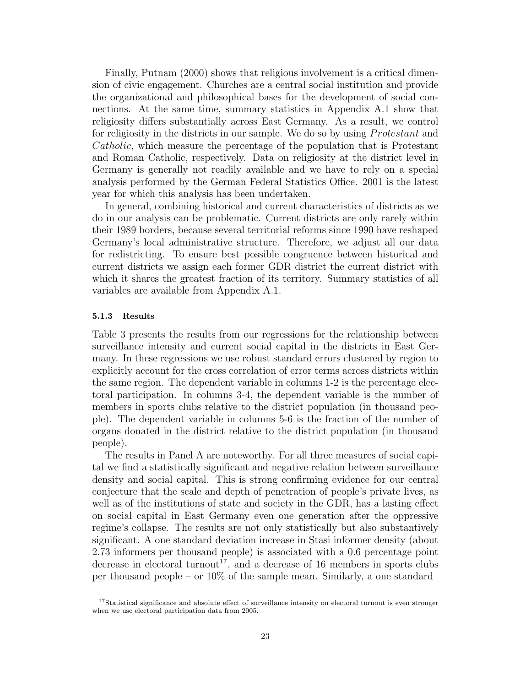Finally, Putnam (2000) shows that religious involvement is a critical dimension of civic engagement. Churches are a central social institution and provide the organizational and philosophical bases for the development of social connections. At the same time, summary statistics in Appendix A.1 show that religiosity differs substantially across East Germany. As a result, we control for religiosity in the districts in our sample. We do so by using *Protestant* and Catholic, which measure the percentage of the population that is Protestant and Roman Catholic, respectively. Data on religiosity at the district level in Germany is generally not readily available and we have to rely on a special analysis performed by the German Federal Statistics Office. 2001 is the latest year for which this analysis has been undertaken.

In general, combining historical and current characteristics of districts as we do in our analysis can be problematic. Current districts are only rarely within their 1989 borders, because several territorial reforms since 1990 have reshaped Germany's local administrative structure. Therefore, we adjust all our data for redistricting. To ensure best possible congruence between historical and current districts we assign each former GDR district the current district with which it shares the greatest fraction of its territory. Summary statistics of all variables are available from Appendix A.1.

### 5.1.3 Results

Table 3 presents the results from our regressions for the relationship between surveillance intensity and current social capital in the districts in East Germany. In these regressions we use robust standard errors clustered by region to explicitly account for the cross correlation of error terms across districts within the same region. The dependent variable in columns 1-2 is the percentage electoral participation. In columns 3-4, the dependent variable is the number of members in sports clubs relative to the district population (in thousand people). The dependent variable in columns 5-6 is the fraction of the number of organs donated in the district relative to the district population (in thousand people).

The results in Panel A are noteworthy. For all three measures of social capital we find a statistically significant and negative relation between surveillance density and social capital. This is strong confirming evidence for our central conjecture that the scale and depth of penetration of people's private lives, as well as of the institutions of state and society in the GDR, has a lasting effect on social capital in East Germany even one generation after the oppressive regime's collapse. The results are not only statistically but also substantively significant. A one standard deviation increase in Stasi informer density (about 2.73 informers per thousand people) is associated with a 0.6 percentage point decrease in electoral turnout<sup>17</sup>, and a decrease of 16 members in sports clubs per thousand people – or 10% of the sample mean. Similarly, a one standard

<sup>&</sup>lt;sup>17</sup>Statistical significance and absolute effect of surveillance intensity on electoral turnout is even stronger when we use electoral participation data from 2005.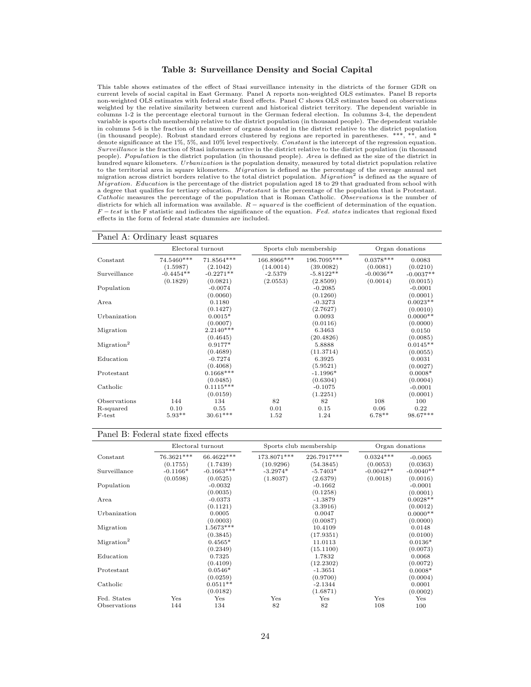#### Table 3: Surveillance Density and Social Capital

This table shows estimates of the effect of Stasi surveillance intensity in the districts of the former GDR on current levels of social capital in East Germany. Panel A reports non-weighted OLS estimates. Panel B reports non-weighted OLS estimates with federal state fixed effects. Panel C shows OLS estimates based on observations weighted by the relative similarity between current and historical district territory. The dependent variable in columns 1-2 is the percentage electoral turnout in the German federal election. In columns 3-4, the dependent variable is sports club membership relative to the district population (in thousand people). The dependent variable in columns 5-6 is the fraction of the number of organs donated in the district relative to the district population (in thousand people). Robust standard errors clustered by regions are reported in parentheses. \*\*\*, \*\*, and \* denote significance at the 1%, 5%, and 10% level respectively. Constant is the intercept of the regression equation. Surveillance is the fraction of Stasi informers active in the district relative to the district population (in thousand people). Population is the district population (in thousand people). Area is defined as the size of the district in hundred square kilometers. Urbanization is the population density, measured by total district population relative to the territorial area in square kilometers. *Migration* is defined as the percentage of the average annual net<br>migration across district borders relative to the total district population. *Migration*<sup>2</sup> is defined as th M igration. Education is the percentage of the district population aged 18 to 29 that graduated from school with a degree that qualifies for tertiary education. Protestant is the percentage of the population that is Protestant. Catholic measures the percentage of the population that is Roman Catholic. Observations is the number of districts for which all information was available.  $R - squared$  is the coefficient of determination of the equation.  $F-test$  is the F statistic and indicates the significance of the equation. Fed. states indicates that regional fixed effects in the form of federal state dummies are included.

| Panel A: Ordinary least squares |                                             |                                                                      |                                            |                                                                                   |                                             |  |
|---------------------------------|---------------------------------------------|----------------------------------------------------------------------|--------------------------------------------|-----------------------------------------------------------------------------------|---------------------------------------------|--|
| Electoral turnout               |                                             |                                                                      | Sports club membership                     |                                                                                   | Organ donations                             |  |
| 74.5460***                      | 71.8564***                                  | 166.8966***                                                          | 196.7095***                                | $0.0378***$                                                                       | 0.0083                                      |  |
|                                 |                                             |                                                                      |                                            |                                                                                   | (0.0210)                                    |  |
|                                 |                                             |                                                                      |                                            |                                                                                   | $-0.0037**$                                 |  |
|                                 | (0.0821)                                    |                                                                      | (2.8509)                                   |                                                                                   | (0.0015)                                    |  |
|                                 |                                             |                                                                      |                                            |                                                                                   | $-0.0001$                                   |  |
|                                 | (0.0060)                                    |                                                                      | (0.1260)                                   |                                                                                   | (0.0001)                                    |  |
|                                 | 0.1180                                      |                                                                      | $-0.3273$                                  |                                                                                   | $0.0023**$                                  |  |
|                                 | (0.1427)                                    |                                                                      | (2.7627)                                   |                                                                                   | (0.0010)                                    |  |
|                                 | $0.0015*$                                   |                                                                      | 0.0093                                     |                                                                                   | $0.0000**$                                  |  |
|                                 | (0.0007)                                    |                                                                      | (0.0116)                                   |                                                                                   | (0.0000)                                    |  |
|                                 | $2.2140***$                                 |                                                                      | 6.3463                                     |                                                                                   | 0.0150                                      |  |
|                                 | (0.4645)                                    |                                                                      | (20.4826)                                  |                                                                                   | (0.0085)                                    |  |
|                                 | $0.9177*$                                   |                                                                      | 5.8888                                     |                                                                                   | $0.0145**$                                  |  |
|                                 | (0.4689)                                    |                                                                      | (11.3714)                                  |                                                                                   | (0.0055)                                    |  |
|                                 | $-0.7274$                                   |                                                                      | 6.3925                                     |                                                                                   | 0.0031                                      |  |
|                                 |                                             |                                                                      |                                            |                                                                                   | (0.0027)                                    |  |
|                                 | $0.1668***$                                 |                                                                      | $-1.1996*$                                 |                                                                                   | $0.0008*$                                   |  |
|                                 |                                             |                                                                      |                                            |                                                                                   | (0.0004)                                    |  |
|                                 | $0.1115***$                                 |                                                                      | $-0.1075$                                  |                                                                                   | $-0.0001$                                   |  |
|                                 | (0.0159)                                    |                                                                      |                                            |                                                                                   | (0.0001)                                    |  |
| 144                             | 134                                         | 82                                                                   | 82                                         | 108                                                                               | 100                                         |  |
|                                 |                                             |                                                                      |                                            |                                                                                   | 0.22                                        |  |
| $5.93**$                        | $30.61***$                                  | 1.52                                                                 | 1.24                                       | $6.78**$                                                                          | 98.67***                                    |  |
|                                 | (1.5987)<br>$-0.4454**$<br>(0.1829)<br>0.10 | (2.1042)<br>$-0.2271**$<br>$-0.0074$<br>(0.4068)<br>(0.0485)<br>0.55 | (14.0014)<br>$-2.5379$<br>(2.0553)<br>0.01 | (39.0082)<br>$-5.8122**$<br>$-0.2085$<br>(5.9521)<br>(0.6304)<br>(1.2251)<br>0.15 | (0.0081)<br>$-0.0036**$<br>(0.0014)<br>0.06 |  |

#### Panel B: Federal state fixed effects

|                        | Electoral turnout |              | Sports club membership |             | Organ donations |             |
|------------------------|-------------------|--------------|------------------------|-------------|-----------------|-------------|
| Constant               | 76.3621***        | 66.4622***   | 173.8071***            | 226.7917*** | $0.0324***$     | $-0.0065$   |
|                        | (0.1755)          | (1.7439)     | (10.9296)              | (54.3845)   | (0.0053)        | (0.0363)    |
| Surveillance           | $-0.1166*$        | $-0.1663***$ | $-3.2974*$             | $-5.7403*$  | $-0.0042**$     | $-0.0040**$ |
|                        | (0.0598)          | (0.0525)     | (1.8037)               | (2.6379)    | (0.0018)        | (0.0016)    |
| Population             |                   | $-0.0032$    |                        | $-0.1662$   |                 | $-0.0001$   |
|                        |                   | (0.0035)     |                        | (0.1258)    |                 | (0.0001)    |
| Area                   |                   | $-0.0373$    |                        | $-1.3879$   |                 | $0.0028**$  |
|                        |                   | (0.1121)     |                        | (3.3916)    |                 | (0.0012)    |
| Urbanization           |                   | 0.0005       |                        | 0.0047      |                 | $0.0000**$  |
|                        |                   | (0.0003)     |                        | (0.0087)    |                 | (0.0000)    |
| Migration              |                   | $1.5673***$  |                        | 10.4109     |                 | 0.0148      |
|                        |                   | (0.3845)     |                        | (17.9351)   |                 | (0.0100)    |
| Migration <sup>2</sup> |                   | $0.4565*$    |                        | 11.0113     |                 | $0.0136*$   |
|                        |                   | (0.2349)     |                        | (15.1100)   |                 | (0.0073)    |
| Education              |                   | 0.7325       |                        | 1.7832      |                 | 0.0068      |
|                        |                   | (0.4109)     |                        | (12.2302)   |                 | (0.0072)    |
| Protestant             |                   | $0.0546*$    |                        | $-1.3651$   |                 | $0.0008*$   |
|                        |                   | (0.0259)     |                        | (0.9700)    |                 | (0.0004)    |
| Catholic               |                   | $0.0511**$   |                        | $-2.1344$   |                 | 0.0001      |
|                        |                   | (0.0182)     |                        | (1.6871)    |                 | (0.0002)    |
| Fed. States            | Yes               | Yes          | Yes                    | Yes         | Yes             | Yes         |
| Observations           | 144               | 134          | 82                     | 82          | 108             | 100         |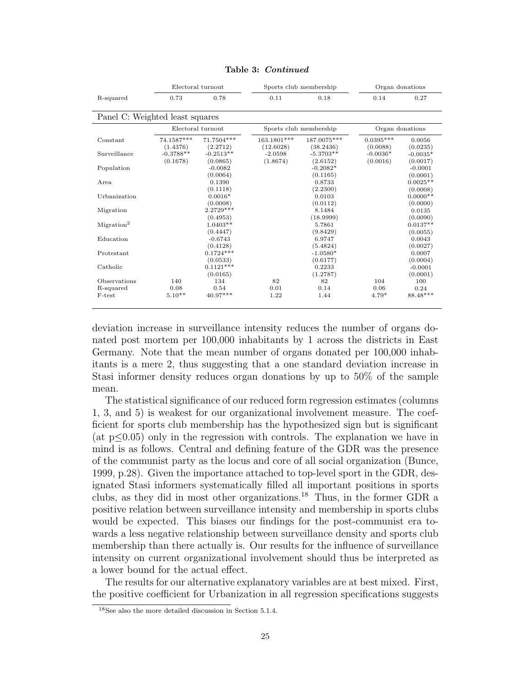|                                 |             | Electoral turnout | Sports club membership |                        | Organ donations |            |
|---------------------------------|-------------|-------------------|------------------------|------------------------|-----------------|------------|
| R-squared                       | 0.73        | 0.78              | 0.11                   | 0.18                   | 0.14            | 0.27       |
|                                 |             |                   |                        |                        |                 |            |
| Panel C: Weighted least squares |             |                   |                        |                        |                 |            |
|                                 |             | Electoral turnout |                        | Sports club membership | Organ donations |            |
| Constant                        | 74.1587***  | 71.7504***        | 163.1801***            | 187.0075***            | $0.0395***$     | 0.0056     |
|                                 | (1.4376)    | (2.2712)          | (12.6028)              | (38.2436)              | (0.0088)        | (0.0235)   |
| Surveillance                    | $-0.3788**$ | $-0.2513**$       | $-2.0598$              | $-5.3703**$            | $-0.0036*$      | $-0.0035*$ |
|                                 | (0.1678)    | (0.0865)          | (1.8674)               | (2.6152)               | (0.0016)        | (0.0017)   |
| Population                      |             | $-0.0082$         |                        | $-0.2082*$             |                 | $-0.0001$  |
|                                 |             | (0.0064)          |                        | (0.1165)               |                 | (0.0001)   |
| Area                            |             | 0.1390            |                        | 0.8733                 |                 | $0.0025**$ |
|                                 |             | (0.1118)          |                        | (2.2300)               |                 | (0.0008)   |
| Urbanization                    |             | $0.0016*$         |                        | 0.0103                 |                 | $0.0000**$ |
|                                 |             | (0.0008)          |                        | (0.0112)               |                 | (0.0000)   |
| Migration                       |             | $2.2729***$       |                        | 8.1484                 |                 | 0.0135     |
|                                 |             | (0.4953)          |                        | (18.9999)              |                 | (0.0090)   |
| Migration <sup>2</sup>          |             | $1.0403**$        |                        | 5.7861                 |                 | $0.0137**$ |
|                                 |             | (0.4447)          |                        | (9.8429)               |                 | (0.0055)   |
| Education                       |             | $-0.6743$         |                        | 6.9747                 |                 | 0.0043     |
|                                 |             | (0.4128)          |                        | (5.4824)               |                 | (0.0027)   |
| Protestant                      |             | $0.1724***$       |                        | $-1.0580*$             |                 | 0.0007     |
|                                 |             | (0.0533)          |                        | (0.6177)               |                 | (0.0004)   |
| Catholic                        |             | $0.1121***$       |                        | 0.2233                 |                 | $-0.0001$  |
|                                 |             | (0.0165)          |                        | (1.2787)               |                 | (0.0001)   |
| Observations                    | 140         | 134               | 82                     | 82                     | 104             | 100        |
| R-squared                       | 0.08        | 0.54              | 0.01                   | 0.14                   | 0.06            | 0.24       |
| F-test                          | $5.10**$    | 40.97***          | 1.22                   | 1.44                   | $4.79*$         | 88.48***   |
|                                 |             |                   |                        |                        |                 |            |

| Table 3: Continued |  |
|--------------------|--|
|--------------------|--|

deviation increase in surveillance intensity reduces the number of organs donated post mortem per 100,000 inhabitants by 1 across the districts in East Germany. Note that the mean number of organs donated per 100,000 inhabitants is a mere 2, thus suggesting that a one standard deviation increase in Stasi informer density reduces organ donations by up to 50% of the sample mean.

The statistical significance of our reduced form regression estimates (columns 1, 3, and 5) is weakest for our organizational involvement measure. The coefficient for sports club membership has the hypothesized sign but is significant (at p≤0.05) only in the regression with controls. The explanation we have in mind is as follows. Central and defining feature of the GDR was the presence of the communist party as the locus and core of all social organization (Bunce, 1999, p.28). Given the importance attached to top-level sport in the GDR, designated Stasi informers systematically filled all important positions in sports clubs, as they did in most other organizations.<sup>18</sup> Thus, in the former GDR a positive relation between surveillance intensity and membership in sports clubs would be expected. This biases our findings for the post-communist era towards a less negative relationship between surveillance density and sports club membership than there actually is. Our results for the influence of surveillance intensity on current organizational involvement should thus be interpreted as a lower bound for the actual effect.

The results for our alternative explanatory variables are at best mixed. First, the positive coefficient for Urbanization in all regression specifications suggests

<sup>18</sup>See also the more detailed discussion in Section 5.1.4.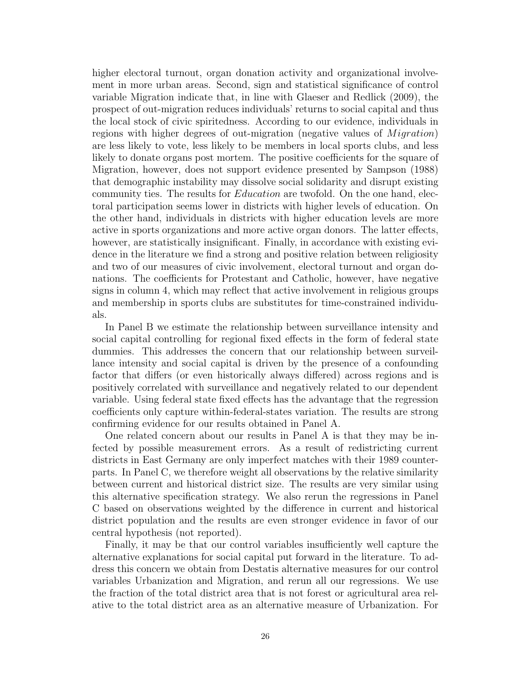higher electoral turnout, organ donation activity and organizational involvement in more urban areas. Second, sign and statistical significance of control variable Migration indicate that, in line with Glaeser and Redlick (2009), the prospect of out-migration reduces individuals' returns to social capital and thus the local stock of civic spiritedness. According to our evidence, individuals in regions with higher degrees of out-migration (negative values of  $Migration$ ) are less likely to vote, less likely to be members in local sports clubs, and less likely to donate organs post mortem. The positive coefficients for the square of Migration, however, does not support evidence presented by Sampson (1988) that demographic instability may dissolve social solidarity and disrupt existing community ties. The results for *Education* are twofold. On the one hand, electoral participation seems lower in districts with higher levels of education. On the other hand, individuals in districts with higher education levels are more active in sports organizations and more active organ donors. The latter effects, however, are statistically insignificant. Finally, in accordance with existing evidence in the literature we find a strong and positive relation between religiosity and two of our measures of civic involvement, electoral turnout and organ donations. The coefficients for Protestant and Catholic, however, have negative signs in column 4, which may reflect that active involvement in religious groups and membership in sports clubs are substitutes for time-constrained individuals.

In Panel B we estimate the relationship between surveillance intensity and social capital controlling for regional fixed effects in the form of federal state dummies. This addresses the concern that our relationship between surveillance intensity and social capital is driven by the presence of a confounding factor that differs (or even historically always differed) across regions and is positively correlated with surveillance and negatively related to our dependent variable. Using federal state fixed effects has the advantage that the regression coefficients only capture within-federal-states variation. The results are strong confirming evidence for our results obtained in Panel A.

One related concern about our results in Panel A is that they may be infected by possible measurement errors. As a result of redistricting current districts in East Germany are only imperfect matches with their 1989 counterparts. In Panel C, we therefore weight all observations by the relative similarity between current and historical district size. The results are very similar using this alternative specification strategy. We also rerun the regressions in Panel C based on observations weighted by the difference in current and historical district population and the results are even stronger evidence in favor of our central hypothesis (not reported).

Finally, it may be that our control variables insufficiently well capture the alternative explanations for social capital put forward in the literature. To address this concern we obtain from Destatis alternative measures for our control variables Urbanization and Migration, and rerun all our regressions. We use the fraction of the total district area that is not forest or agricultural area relative to the total district area as an alternative measure of Urbanization. For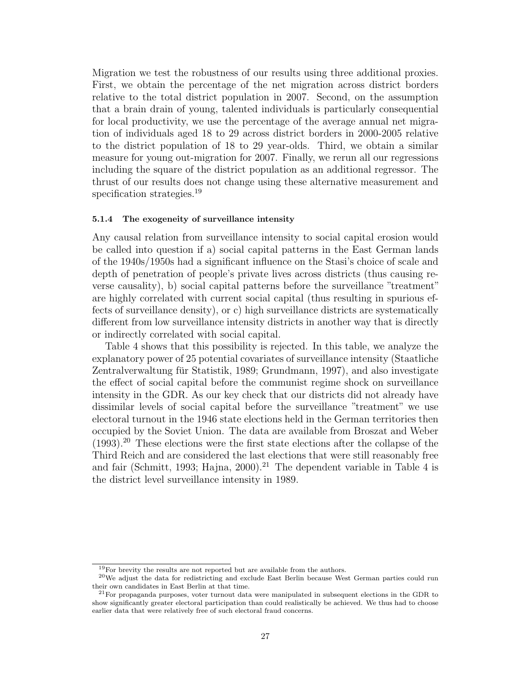Migration we test the robustness of our results using three additional proxies. First, we obtain the percentage of the net migration across district borders relative to the total district population in 2007. Second, on the assumption that a brain drain of young, talented individuals is particularly consequential for local productivity, we use the percentage of the average annual net migration of individuals aged 18 to 29 across district borders in 2000-2005 relative to the district population of 18 to 29 year-olds. Third, we obtain a similar measure for young out-migration for 2007. Finally, we rerun all our regressions including the square of the district population as an additional regressor. The thrust of our results does not change using these alternative measurement and specification strategies.<sup>19</sup>

#### 5.1.4 The exogeneity of surveillance intensity

Any causal relation from surveillance intensity to social capital erosion would be called into question if a) social capital patterns in the East German lands of the 1940s/1950s had a significant influence on the Stasi's choice of scale and depth of penetration of people's private lives across districts (thus causing reverse causality), b) social capital patterns before the surveillance "treatment" are highly correlated with current social capital (thus resulting in spurious effects of surveillance density), or c) high surveillance districts are systematically different from low surveillance intensity districts in another way that is directly or indirectly correlated with social capital.

Table 4 shows that this possibility is rejected. In this table, we analyze the explanatory power of 25 potential covariates of surveillance intensity (Staatliche Zentralverwaltung für Statistik, 1989; Grundmann, 1997), and also investigate the effect of social capital before the communist regime shock on surveillance intensity in the GDR. As our key check that our districts did not already have dissimilar levels of social capital before the surveillance "treatment" we use electoral turnout in the 1946 state elections held in the German territories then occupied by the Soviet Union. The data are available from Broszat and Weber  $(1993).^{20}$  These elections were the first state elections after the collapse of the Third Reich and are considered the last elections that were still reasonably free and fair (Schmitt, 1993; Hajna, 2000).<sup>21</sup> The dependent variable in Table 4 is the district level surveillance intensity in 1989.

<sup>&</sup>lt;sup>19</sup>For brevity the results are not reported but are available from the authors.

<sup>20</sup>We adjust the data for redistricting and exclude East Berlin because West German parties could run their own candidates in East Berlin at that time.

<sup>&</sup>lt;sup>21</sup>For propaganda purposes, voter turnout data were manipulated in subsequent elections in the GDR to show significantly greater electoral participation than could realistically be achieved. We thus had to choose earlier data that were relatively free of such electoral fraud concerns.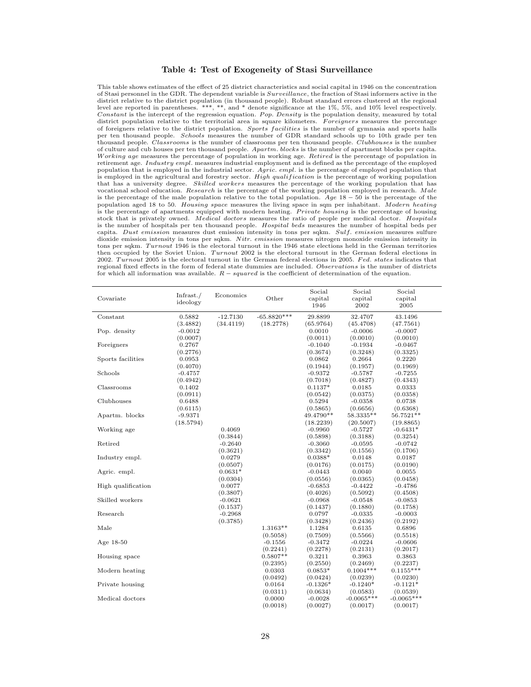#### Table 4: Test of Exogeneity of Stasi Surveillance

This table shows estimates of the effect of 25 district characteristics and social capital in 1946 on the concentration of Stasi personnel in the GDR. The dependent variable is Surveillance, the fraction of Stasi informers active in the district relative to the district population (in thousand people). Robust standard errors clustered at the regional level are reported in parentheses. \*\*\*, \*\*, and \* denote significance at the 1%, 5%, and 10% level respectively. Constant is the intercept of the regression equation. Pop. Density is the population density, measured by total district population relative to the territorial area in square kilometers. Foreigners measures the percentage of foreigners relative to the district population. Sports facilities is the number of gymnasia and sports halls per ten thousand people. Schools measures the number of GDR standard schools up to 10th grade per ten thousand people.  $\hat{Cl}$  as *srooms* is the number of classrooms per ten thousand people.  $\hat{Cl}$  *ubhouses* is the number of culture and cub houses per ten thousand people. Apartm. blocks is the number of apartment blocks per capita. W orking age measures the percentage of population in working age. Retired is the percentage of population in retirement age. Industry empl. measures industrial employment and is defined as the percentage of the employed population that is employed in the industrial sector.  $\overrightarrow{April}$  is the percentage of employed population that is employed in the agricultural and forestry sector. High qualification is the percentage of working population that has a university degree. Skilled workers measures the percentage of the working population that has vocational school education. Research is the percentage of the working population employed in research. Male is the percentage of the male population relative to the total population. Age  $18 - 50$  is the percentage of the population aged 18 to 50. Housing space measures the living space in sqm per inhabitant. Modern heating is the percentage of apartments equipped with modern heating. Private housing is the percentage of housing stock that is privately owned. Medical doctors measures the ratio of people per medical doctor. Hospitals is the number of hospitals per ten thousand people. Hospital beds measures the number of hospital beds per capita. Dust emission measures dust emission intensity in tons per sqkm. Sulf. emission measures sulfure dioxide emission intensity in tons per sqkm. Nitr. emission measures nitrogen monoxide emission intensity in tons per sokm. Turnout 1946 is the electoral turnout in the 1946 state elections held in the German territories then occupied by the Soviet Union. Turnout 2002 is the electoral turnout in the German federal elections in 2002. Turnout 2005 is the electoral turnout in the German federal elections in 2005. Fed. states indicates that regional fixed effects in the form of federal state dummies are included. Observations is the number of districts for which all information was available.  $R - squared$  is the coefficient of determination of the equation.

|                    |                       | Economics  |               | Social     | Social       | Social       |
|--------------------|-----------------------|------------|---------------|------------|--------------|--------------|
| Covariate          | Infrast./<br>ideology |            | Other         | capital    | capital      | capital      |
|                    |                       |            |               | 1946       | 2002         | 2005         |
| Constant           | 0.5882                | $-12.7130$ | $-65.8820***$ | 29.8899    | 32.4707      | 43.1496      |
|                    | (3.4882)              | (34.4119)  | (18.2778)     | (65.9764)  | (45.4708)    | (47.7561)    |
| Pop. density       | $-0.0012$             |            |               | 0.0010     | $-0.0006$    | $-0.0007$    |
|                    | (0.0007)              |            |               | (0.0011)   | (0.0010)     | (0.0010)     |
| Foreigners         | 0.2767                |            |               | $-0.1040$  | $-0.1934$    | $-0.0467$    |
|                    | (0.2776)              |            |               | (0.3674)   | (0.3248)     | (0.3325)     |
| Sports facilities  | 0.0953                |            |               | 0.0862     | 0.2664       | 0.2220       |
|                    | (0.4070)              |            |               | (0.1944)   | (0.1957)     | (0.1969)     |
| Schools            | $-0.4757$             |            |               | $-0.9372$  | $-0.5787$    | $-0.7255$    |
|                    | (0.4942)              |            |               | (0.7018)   | (0.4827)     | (0.4343)     |
| Classrooms         | 0.1402                |            |               | $0.1137*$  | 0.0185       | 0.0333       |
|                    | (0.0911)              |            |               | (0.0542)   | (0.0375)     | (0.0358)     |
| Clubhouses         | 0.6488                |            |               | 0.5294     | $-0.0358$    | 0.0738       |
|                    | (0.6115)              |            |               | (0.5865)   | (0.6656)     | (0.6368)     |
| Apartm. blocks     | $-9.9371$             |            |               | 49.4790**  | 58.3335**    | 56.7521**    |
|                    | (18.5794)             |            |               | (18.2239)  | (20.5007)    | (19.8865)    |
| Working age        |                       | 0.4069     |               | $-0.9960$  | $-0.5727$    | $-0.6431*$   |
|                    |                       | (0.3844)   |               | (0.5898)   | (0.3188)     | (0.3254)     |
| Retired            |                       | $-0.2640$  |               | $-0.3060$  | $-0.0595$    | $-0.0742$    |
|                    |                       | (0.3621)   |               | (0.3342)   | (0.1556)     | (0.1706)     |
| Industry empl.     |                       | 0.0279     |               | $0.0388*$  | 0.0148       | 0.0187       |
|                    |                       | (0.0507)   |               | (0.0176)   | (0.0175)     | (0.0190)     |
| Agric. empl.       |                       | $0.0631*$  |               | $-0.0443$  | 0.0040       | 0.0055       |
|                    |                       | (0.0304)   |               | (0.0556)   | (0.0365)     | (0.0458)     |
| High qualification |                       | 0.0077     |               | $-0.6853$  | $-0.4422$    | $-0.4786$    |
|                    |                       | (0.3807)   |               | (0.4026)   | (0.5092)     | (0.4508)     |
| Skilled workers    |                       | $-0.0621$  |               | $-0.0968$  | $-0.0548$    | $-0.0853$    |
|                    |                       | (0.1537)   |               | (0.1437)   | (0.1880)     | (0.1758)     |
| Research           |                       | $-0.2968$  |               | 0.0797     | $-0.0335$    | $-0.0003$    |
|                    |                       | (0.3785)   |               | (0.3428)   | (0.2436)     | (0.2192)     |
| Male               |                       |            | 1.3163**      | 1.1284     | 0.6135       | 0.6896       |
|                    |                       |            | (0.5058)      | (0.7509)   | (0.5566)     | (0.5518)     |
| Age 18-50          |                       |            | $-0.1556$     | $-0.3472$  | $-0.0224$    | $-0.0606$    |
|                    |                       |            | (0.2241)      | (0.2278)   | (0.2131)     | (0.2017)     |
| Housing space      |                       |            | $0.5807**$    | 0.3211     | 0.3963       | 0.3863       |
|                    |                       |            | (0.2395)      | (0.2550)   | (0.2469)     | (0.2237)     |
| Modern heating     |                       |            | 0.0303        | $0.0853*$  | $0.1004***$  | $0.1155***$  |
|                    |                       |            | (0.0492)      | (0.0424)   | (0.0239)     | (0.0230)     |
| Private housing    |                       |            | 0.0164        | $-0.1326*$ | $-0.1240*$   | $-0.1121*$   |
|                    |                       |            | (0.0311)      | (0.0634)   | (0.0583)     | (0.0539)     |
| Medical doctors    |                       |            | 0.0000        | $-0.0028$  | $-0.0065***$ | $-0.0065***$ |
|                    |                       |            | (0.0018)      | (0.0027)   | (0.0017)     | (0.0017)     |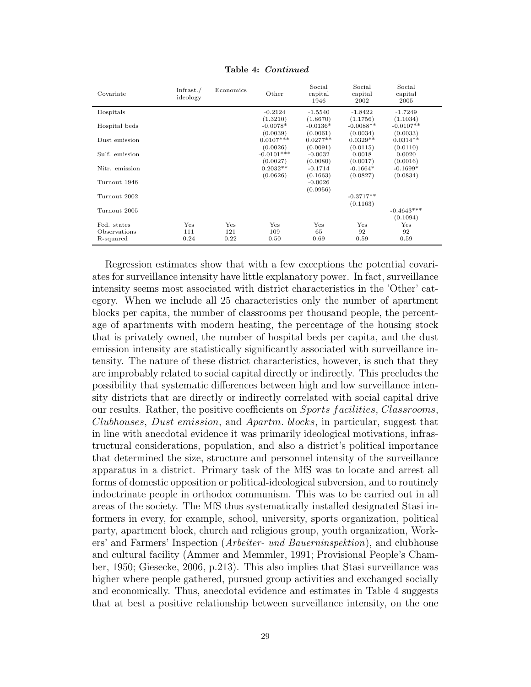| Covariate                                | Infrast. $/$<br>ideology | Economics          | Other                              | Social<br>capital<br>1946          | Social<br>capital<br>2002           | Social<br>capital<br>2005           |
|------------------------------------------|--------------------------|--------------------|------------------------------------|------------------------------------|-------------------------------------|-------------------------------------|
| Hospitals                                |                          |                    | $-0.2124$                          | $-1.5540$                          | $-1.8422$                           | $-1.7249$                           |
| Hospital beds                            |                          |                    | (1.3210)<br>$-0.0078*$<br>(0.0039) | (1.8670)<br>$-0.0136*$<br>(0.0061) | (1.1756)<br>$-0.0088**$<br>(0.0034) | (1.1034)<br>$-0.0107**$<br>(0.0033) |
| Dust emission                            |                          |                    | $0.0107***$<br>(0.0026)            | $0.0277**$<br>(0.0091)             | $0.0329**$<br>(0.0115)              | $0.0314**$<br>(0.0110)              |
| Sulf. emission                           |                          |                    | $-0.0101***$<br>(0.0027)           | $-0.0032$<br>(0.0080)              | 0.0018<br>(0.0017)                  | 0.0020<br>(0.0016)                  |
| Nitr. emission                           |                          |                    | $0.2032**$                         | $-0.1714$                          | $-0.1664*$                          | $-0.1699*$                          |
| Turnout 1946                             |                          |                    | (0.0626)                           | (0.1663)<br>$-0.0026$              | (0.0827)                            | (0.0834)                            |
| Turnout 2002                             |                          |                    |                                    | (0.0956)                           | $-0.3717**$<br>(0.1163)             |                                     |
| Turnout 2005                             |                          |                    |                                    |                                    |                                     | $-0.4643***$<br>(0.1094)            |
| Fed. states<br>Observations<br>R-squared | Yes<br>111<br>0.24       | Yes<br>121<br>0.22 | Yes<br>109<br>0.50                 | Yes<br>65<br>0.69                  | Yes<br>92<br>0.59                   | Yes<br>92<br>0.59                   |

Table 4: Continued

Regression estimates show that with a few exceptions the potential covariates for surveillance intensity have little explanatory power. In fact, surveillance intensity seems most associated with district characteristics in the 'Other' category. When we include all 25 characteristics only the number of apartment blocks per capita, the number of classrooms per thousand people, the percentage of apartments with modern heating, the percentage of the housing stock that is privately owned, the number of hospital beds per capita, and the dust emission intensity are statistically significantly associated with surveillance intensity. The nature of these district characteristics, however, is such that they are improbably related to social capital directly or indirectly. This precludes the possibility that systematic differences between high and low surveillance intensity districts that are directly or indirectly correlated with social capital drive our results. Rather, the positive coefficients on Sports f acilities, Classrooms, Clubhouses, Dust emission, and Apartm. blocks, in particular, suggest that in line with anecdotal evidence it was primarily ideological motivations, infrastructural considerations, population, and also a district's political importance that determined the size, structure and personnel intensity of the surveillance apparatus in a district. Primary task of the MfS was to locate and arrest all forms of domestic opposition or political-ideological subversion, and to routinely indoctrinate people in orthodox communism. This was to be carried out in all areas of the society. The MfS thus systematically installed designated Stasi informers in every, for example, school, university, sports organization, political party, apartment block, church and religious group, youth organization, Workers' and Farmers' Inspection (Arbeiter- und Bauerninspektion), and clubhouse and cultural facility (Ammer and Memmler, 1991; Provisional People's Chamber, 1950; Giesecke, 2006, p.213). This also implies that Stasi surveillance was higher where people gathered, pursued group activities and exchanged socially and economically. Thus, anecdotal evidence and estimates in Table 4 suggests that at best a positive relationship between surveillance intensity, on the one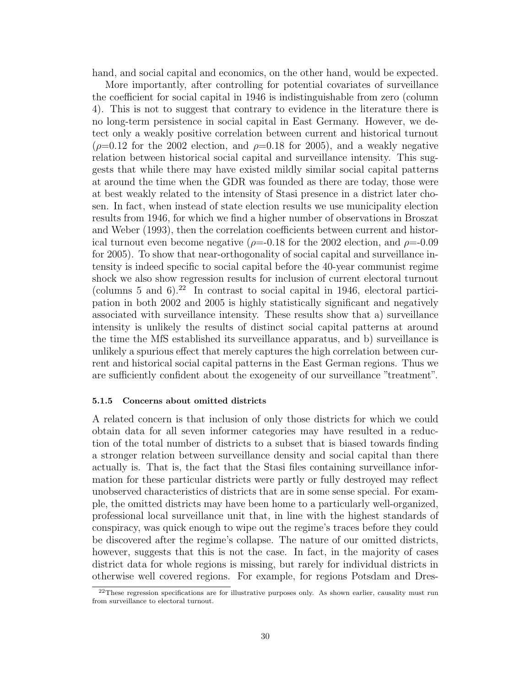hand, and social capital and economics, on the other hand, would be expected.

More importantly, after controlling for potential covariates of surveillance the coefficient for social capital in 1946 is indistinguishable from zero (column 4). This is not to suggest that contrary to evidence in the literature there is no long-term persistence in social capital in East Germany. However, we detect only a weakly positive correlation between current and historical turnout ( $\rho$ =0.12 for the 2002 election, and  $\rho$ =0.18 for 2005), and a weakly negative relation between historical social capital and surveillance intensity. This suggests that while there may have existed mildly similar social capital patterns at around the time when the GDR was founded as there are today, those were at best weakly related to the intensity of Stasi presence in a district later chosen. In fact, when instead of state election results we use municipality election results from 1946, for which we find a higher number of observations in Broszat and Weber (1993), then the correlation coefficients between current and historical turnout even become negative ( $\rho = 0.18$  for the 2002 election, and  $\rho = 0.09$ for 2005). To show that near-orthogonality of social capital and surveillance intensity is indeed specific to social capital before the 40-year communist regime shock we also show regression results for inclusion of current electoral turnout (columns 5 and 6).<sup>22</sup> In contrast to social capital in 1946, electoral participation in both 2002 and 2005 is highly statistically significant and negatively associated with surveillance intensity. These results show that a) surveillance intensity is unlikely the results of distinct social capital patterns at around the time the MfS established its surveillance apparatus, and b) surveillance is unlikely a spurious effect that merely captures the high correlation between current and historical social capital patterns in the East German regions. Thus we are sufficiently confident about the exogeneity of our surveillance "treatment".

### 5.1.5 Concerns about omitted districts

A related concern is that inclusion of only those districts for which we could obtain data for all seven informer categories may have resulted in a reduction of the total number of districts to a subset that is biased towards finding a stronger relation between surveillance density and social capital than there actually is. That is, the fact that the Stasi files containing surveillance information for these particular districts were partly or fully destroyed may reflect unobserved characteristics of districts that are in some sense special. For example, the omitted districts may have been home to a particularly well-organized, professional local surveillance unit that, in line with the highest standards of conspiracy, was quick enough to wipe out the regime's traces before they could be discovered after the regime's collapse. The nature of our omitted districts, however, suggests that this is not the case. In fact, in the majority of cases district data for whole regions is missing, but rarely for individual districts in otherwise well covered regions. For example, for regions Potsdam and Dres-

 $^{22}$ These regression specifications are for illustrative purposes only. As shown earlier, causality must run from surveillance to electoral turnout.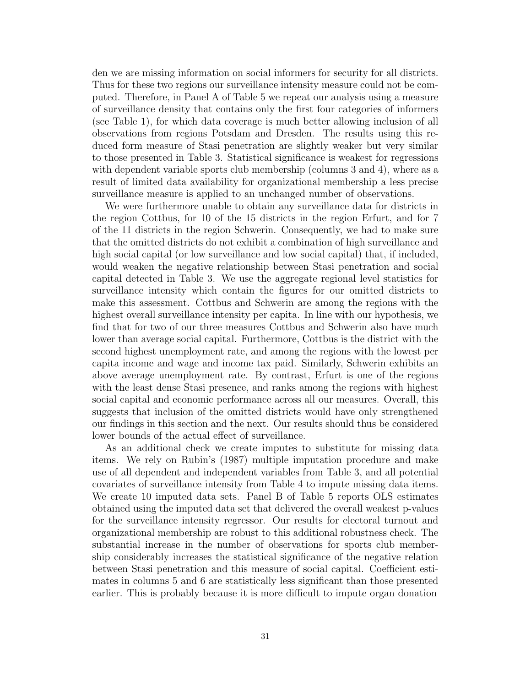den we are missing information on social informers for security for all districts. Thus for these two regions our surveillance intensity measure could not be computed. Therefore, in Panel A of Table 5 we repeat our analysis using a measure of surveillance density that contains only the first four categories of informers (see Table 1), for which data coverage is much better allowing inclusion of all observations from regions Potsdam and Dresden. The results using this reduced form measure of Stasi penetration are slightly weaker but very similar to those presented in Table 3. Statistical significance is weakest for regressions with dependent variable sports club membership (columns 3 and 4), where as a result of limited data availability for organizational membership a less precise surveillance measure is applied to an unchanged number of observations.

We were furthermore unable to obtain any surveillance data for districts in the region Cottbus, for 10 of the 15 districts in the region Erfurt, and for 7 of the 11 districts in the region Schwerin. Consequently, we had to make sure that the omitted districts do not exhibit a combination of high surveillance and high social capital (or low surveillance and low social capital) that, if included, would weaken the negative relationship between Stasi penetration and social capital detected in Table 3. We use the aggregate regional level statistics for surveillance intensity which contain the figures for our omitted districts to make this assessment. Cottbus and Schwerin are among the regions with the highest overall surveillance intensity per capita. In line with our hypothesis, we find that for two of our three measures Cottbus and Schwerin also have much lower than average social capital. Furthermore, Cottbus is the district with the second highest unemployment rate, and among the regions with the lowest per capita income and wage and income tax paid. Similarly, Schwerin exhibits an above average unemployment rate. By contrast, Erfurt is one of the regions with the least dense Stasi presence, and ranks among the regions with highest social capital and economic performance across all our measures. Overall, this suggests that inclusion of the omitted districts would have only strengthened our findings in this section and the next. Our results should thus be considered lower bounds of the actual effect of surveillance.

As an additional check we create imputes to substitute for missing data items. We rely on Rubin's (1987) multiple imputation procedure and make use of all dependent and independent variables from Table 3, and all potential covariates of surveillance intensity from Table 4 to impute missing data items. We create 10 imputed data sets. Panel B of Table 5 reports OLS estimates obtained using the imputed data set that delivered the overall weakest p-values for the surveillance intensity regressor. Our results for electoral turnout and organizational membership are robust to this additional robustness check. The substantial increase in the number of observations for sports club membership considerably increases the statistical significance of the negative relation between Stasi penetration and this measure of social capital. Coefficient estimates in columns 5 and 6 are statistically less significant than those presented earlier. This is probably because it is more difficult to impute organ donation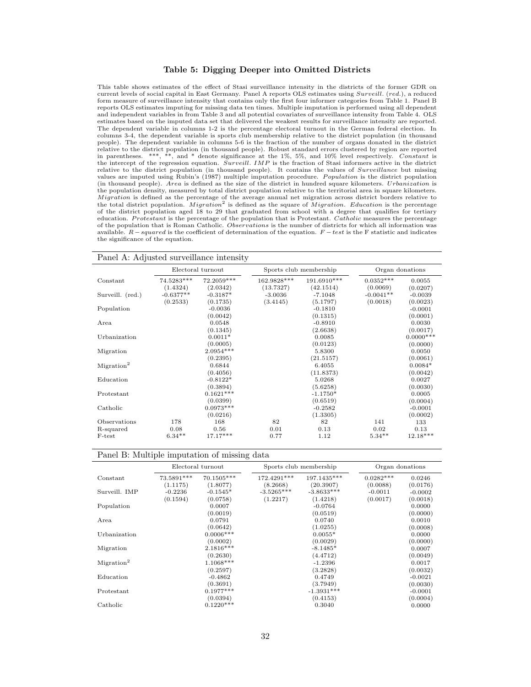#### Table 5: Digging Deeper into Omitted Districts

This table shows estimates of the effect of Stasi surveillance intensity in the districts of the former GDR on current levels of social capital in East Germany. Panel A reports OLS estimates using Surveill. (red.), a reduced form measure of surveillance intensity that contains only the first four informer categories from Table 1. Panel B reports OLS estimates imputing for missing data ten times. Multiple imputation is performed using all dependent and independent variables in from Table 3 and all potential covariates of surveillance intensity from Table 4. OLS estimates based on the imputed data set that delivered the weakest results for surveillance intensity are reported. The dependent variable in columns 1-2 is the percentage electoral turnout in the German federal election. In columns 3-4, the dependent variable is sports club membership relative to the district population (in thousand people). The dependent variable in columns 5-6 is the fraction of the number of organs donated in the district relative to the district population (in thousand people). Robust standard errors clustered by region are reported in parentheses. \*\*\*, \*\*, and \* denote significance at the  $1\%$ , 5%, and  $10\%$  level respectively. Constant is<br>the intercept of the regression equation. Surveill. IMP is the fraction of Stasi informers active in the dist values are imputed using Rubin's (1987) multiple imputation procedure. Population is the district population (in thousand people). Area is defined as the size of the district in hundred square kilometers. Urbanization is the population density, measured by total district population relative to the territorial area in square kilometers. *Migration* is defined as the percentage of the average annual net migration across district borders relative to the total district population. *Migration*<sup>2</sup> is defined as the square of *Migration*. *Education* is the pe of the district population aged 18 to 29 that graduated from school with a degree that qualifies for tertiary education. Protestant is the percentage of the population that is Protestant. Catholic measures the percentage of the population that is Roman Catholic. Observations is the number of districts for which all information was available.  $R$  – squared is the coefficient of determination of the equation.  $F$  – test is the F statistic and indicates the significance of the equation.

| Panel A: Adjusted surveillance intensity |             |                   |                        |             |                 |              |
|------------------------------------------|-------------|-------------------|------------------------|-------------|-----------------|--------------|
|                                          |             | Electoral turnout | Sports club membership |             | Organ donations |              |
| Constant                                 | 74.5283***  | 72.2059***        | 162.9828***            | 191.6910*** | $0.0352***$     | 0.0055       |
|                                          | (1.4324)    | (2.0342)          | (13.7327)              | (42.1514)   | (0.0069)        | (0.0207)     |
| Surveill. (red.)                         | $-0.6377**$ | $-0.3187*$        | $-3.0036$              | $-7.1048$   | $-0.0041**$     | $-0.0039$    |
|                                          | (0.2533)    | (0.1735)          | (3.4145)               | (5.1797)    | (0.0018)        | (0.0023)     |
| Population                               |             | $-0.0036$         |                        | $-0.1810$   |                 | $-0.0001$    |
|                                          |             | (0.0042)          |                        | (0.1315)    |                 | (0.0001)     |
| Area                                     |             | 0.0548            |                        | $-0.8910$   |                 | 0.0030       |
|                                          |             | (0.1345)          |                        | (2.6638)    |                 | (0.0017)     |
| Urbanization                             |             | $0.0011*$         |                        | 0.0085      |                 | $0.0000$ *** |
|                                          |             | (0.0005)          |                        | (0.0123)    |                 | (0.0000)     |
| Migration                                |             | 2.0954***         |                        | 5.8300      |                 | 0.0050       |
|                                          |             | (0.2395)          |                        | (21.5157)   |                 | (0.0061)     |
| Migration <sup>2</sup>                   |             | 0.6844            |                        | 6.4055      |                 | $0.0084*$    |
|                                          |             | (0.4056)          |                        | (11.8373)   |                 | (0.0042)     |
| Education                                |             | $-0.8122*$        |                        | 5.0268      |                 | 0.0027       |
|                                          |             | (0.3894)          |                        | (5.6258)    |                 | (0.0030)     |
| Protestant                               |             | $0.1621***$       |                        | $-1.1750*$  |                 | 0.0005       |
|                                          |             | (0.0399)          |                        | (0.6519)    |                 | (0.0004)     |
| Catholic                                 |             | $0.0973***$       |                        | $-0.2582$   |                 | $-0.0001$    |
|                                          |             | (0.0216)          |                        | (1.3305)    |                 | (0.0002)     |
| Observations                             | 178         | 168               | 82                     | 82          | 141             | 133          |
| R-squared                                | 0.08        | 0.56              | 0.01                   | 0.13        | 0.02            | 0.13         |
| F-test                                   | $6.34**$    | $17.17***$        | 0.77                   | 1.12        | $5.34**$        | $12.18***$   |

|                        | Electoral turnout      |                                   | Sports club membership  |                                   | Organ donations         |                                |
|------------------------|------------------------|-----------------------------------|-------------------------|-----------------------------------|-------------------------|--------------------------------|
| Constant               | 73.5891***<br>(1.1175) | 70.1505***<br>(1.8077)            | 172.4291***<br>(8.2668) | 197.1435***<br>(20.3907)          | $0.0282***$<br>(0.0088) | 0.0246<br>(0.0176)             |
| Surveill. IMP          | $-0.2236$              | $-0.1545*$                        | $-3.5265***$            | $-3.8633***$                      | $-0.0011$               | $-0.0002$                      |
| Population             | (0.1594)               | (0.0758)<br>0.0007<br>(0.0019)    | (1.2217)                | (1.4218)<br>$-0.0764$<br>(0.0519) | (0.0017)                | (0.0018)<br>0.0000<br>(0.0000) |
| Area                   |                        | 0.0791                            |                         | 0.0740                            |                         | 0.0010                         |
| Urbanization           |                        | (0.0642)<br>$0.0006***$           |                         | (1.0255)<br>$0.0055*$             |                         | (0.0008)<br>0.0000             |
| Migration              |                        | (0.0002)<br>$2.1816***$           |                         | (0.0029)<br>$-8.1485*$            |                         | (0.0000)<br>0.0007             |
| Migration <sup>2</sup> |                        | (0.2630)<br>$1.1068***$           |                         | (4.4712)<br>$-1.2396$             |                         | (0.0049)<br>0.0017             |
| Education              |                        | (0.2597)<br>$-0.4862$<br>(0.3691) |                         | (3.2828)<br>0.4749<br>(3.7949)    |                         | (0.0032)<br>$-0.0021$          |
| Protestant             |                        | $0.1977***$<br>(0.0394)           |                         | $-1.3931***$                      |                         | (0.0030)<br>$-0.0001$          |
| Catholic               |                        | $0.1220***$                       |                         | (0.4153)<br>0.3040                |                         | (0.0004)<br>0.0000             |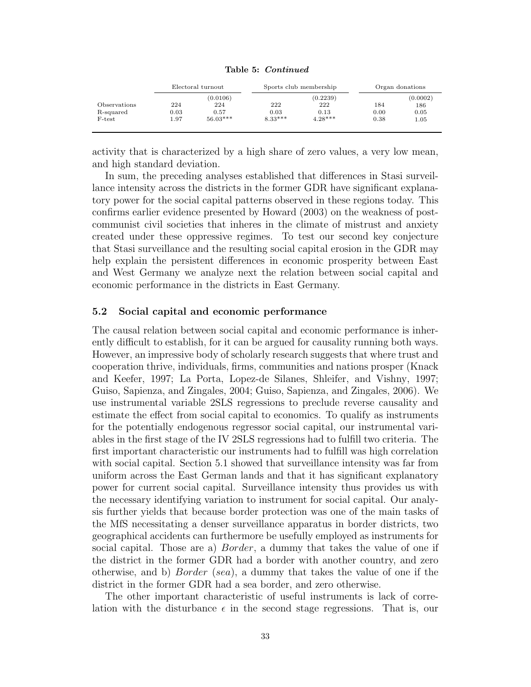|  | Table 5: Continued |
|--|--------------------|
|  |                    |

|              | Electoral turnout |            |           | Sports club membership | Organ donations |          |
|--------------|-------------------|------------|-----------|------------------------|-----------------|----------|
|              |                   | (0.0106)   |           | (0.2239)               |                 | (0.0002) |
| Observations | 224               | 224        | 222       | 222                    | 184             | 186      |
| R-squared    | 0.03              | 0.57       | 0.03      | 0.13                   | 0.00            | 0.05     |
| F-test       | 1.97              | $56.03***$ | $8.33***$ | $4.28***$              | 0.38            | 1.05     |

activity that is characterized by a high share of zero values, a very low mean, and high standard deviation.

In sum, the preceding analyses established that differences in Stasi surveillance intensity across the districts in the former GDR have significant explanatory power for the social capital patterns observed in these regions today. This confirms earlier evidence presented by Howard (2003) on the weakness of postcommunist civil societies that inheres in the climate of mistrust and anxiety created under these oppressive regimes. To test our second key conjecture that Stasi surveillance and the resulting social capital erosion in the GDR may help explain the persistent differences in economic prosperity between East and West Germany we analyze next the relation between social capital and economic performance in the districts in East Germany.

### 5.2 Social capital and economic performance

The causal relation between social capital and economic performance is inherently difficult to establish, for it can be argued for causality running both ways. However, an impressive body of scholarly research suggests that where trust and cooperation thrive, individuals, firms, communities and nations prosper (Knack and Keefer, 1997; La Porta, Lopez-de Silanes, Shleifer, and Vishny, 1997; Guiso, Sapienza, and Zingales, 2004; Guiso, Sapienza, and Zingales, 2006). We use instrumental variable 2SLS regressions to preclude reverse causality and estimate the effect from social capital to economics. To qualify as instruments for the potentially endogenous regressor social capital, our instrumental variables in the first stage of the IV 2SLS regressions had to fulfill two criteria. The first important characteristic our instruments had to fulfill was high correlation with social capital. Section 5.1 showed that surveillance intensity was far from uniform across the East German lands and that it has significant explanatory power for current social capital. Surveillance intensity thus provides us with the necessary identifying variation to instrument for social capital. Our analysis further yields that because border protection was one of the main tasks of the MfS necessitating a denser surveillance apparatus in border districts, two geographical accidents can furthermore be usefully employed as instruments for social capital. Those are a) *Border*, a dummy that takes the value of one if the district in the former GDR had a border with another country, and zero otherwise, and b) Border (sea), a dummy that takes the value of one if the district in the former GDR had a sea border, and zero otherwise.

The other important characteristic of useful instruments is lack of correlation with the disturbance  $\epsilon$  in the second stage regressions. That is, our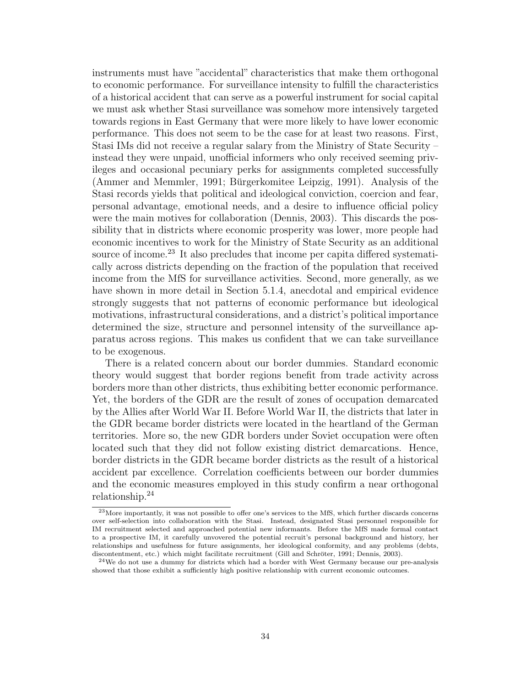instruments must have "accidental" characteristics that make them orthogonal to economic performance. For surveillance intensity to fulfill the characteristics of a historical accident that can serve as a powerful instrument for social capital we must ask whether Stasi surveillance was somehow more intensively targeted towards regions in East Germany that were more likely to have lower economic performance. This does not seem to be the case for at least two reasons. First, Stasi IMs did not receive a regular salary from the Ministry of State Security – instead they were unpaid, unofficial informers who only received seeming privileges and occasional pecuniary perks for assignments completed successfully (Ammer and Memmler, 1991; Bürgerkomitee Leipzig, 1991). Analysis of the Stasi records yields that political and ideological conviction, coercion and fear, personal advantage, emotional needs, and a desire to influence official policy were the main motives for collaboration (Dennis, 2003). This discards the possibility that in districts where economic prosperity was lower, more people had economic incentives to work for the Ministry of State Security as an additional source of income.<sup>23</sup> It also precludes that income per capita differed systematically across districts depending on the fraction of the population that received income from the MfS for surveillance activities. Second, more generally, as we have shown in more detail in Section 5.1.4, anecdotal and empirical evidence strongly suggests that not patterns of economic performance but ideological motivations, infrastructural considerations, and a district's political importance determined the size, structure and personnel intensity of the surveillance apparatus across regions. This makes us confident that we can take surveillance to be exogenous.

There is a related concern about our border dummies. Standard economic theory would suggest that border regions benefit from trade activity across borders more than other districts, thus exhibiting better economic performance. Yet, the borders of the GDR are the result of zones of occupation demarcated by the Allies after World War II. Before World War II, the districts that later in the GDR became border districts were located in the heartland of the German territories. More so, the new GDR borders under Soviet occupation were often located such that they did not follow existing district demarcations. Hence, border districts in the GDR became border districts as the result of a historical accident par excellence. Correlation coefficients between our border dummies and the economic measures employed in this study confirm a near orthogonal relationship.<sup>24</sup>

<sup>23</sup>More importantly, it was not possible to offer one's services to the MfS, which further discards concerns over self-selection into collaboration with the Stasi. Instead, designated Stasi personnel responsible for IM recruitment selected and approached potential new informants. Before the MfS made formal contact to a prospective IM, it carefully unvovered the potential recruit's personal background and history, her relationships and usefulness for future assignments, her ideological conformity, and any problems (debts, discontentment, etc.) which might facilitate recruitment (Gill and Schröter, 1991; Dennis, 2003).

 $24$ We do not use a dummy for districts which had a border with West Germany because our pre-analysis showed that those exhibit a sufficiently high positive relationship with current economic outcomes.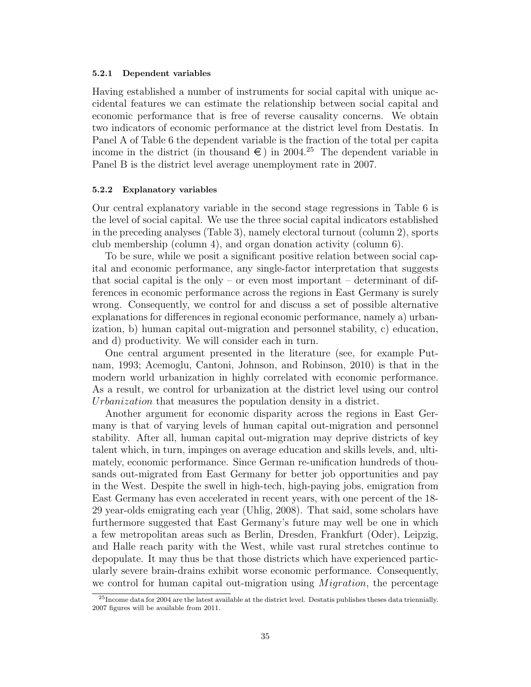#### 5.2.1 Dependent variables

Having established a number of instruments for social capital with unique accidental features we can estimate the relationship between social capital and economic performance that is free of reverse causality concerns. We obtain two indicators of economic performance at the district level from Destatis. In Panel A of Table 6 the dependent variable is the fraction of the total per capita income in the district (in thousand  $\epsilon$ ) in 2004.<sup>25</sup> The dependent variable in Panel B is the district level average unemployment rate in 2007.

#### 5.2.2 Explanatory variables

Our central explanatory variable in the second stage regressions in Table 6 is the level of social capital. We use the three social capital indicators established in the preceding analyses (Table 3), namely electoral turnout (column 2), sports club membership (column 4), and organ donation activity (column 6).

To be sure, while we posit a significant positive relation between social capital and economic performance, any single-factor interpretation that suggests that social capital is the only – or even most important – determinant of differences in economic performance across the regions in East Germany is surely wrong. Consequently, we control for and discuss a set of possible alternative explanations for differences in regional economic performance, namely a) urbanization, b) human capital out-migration and personnel stability, c) education, and d) productivity. We will consider each in turn.

One central argument presented in the literature (see, for example Putnam, 1993; Acemoglu, Cantoni, Johnson, and Robinson, 2010) is that in the modern world urbanization in highly correlated with economic performance. As a result, we control for urbanization at the district level using our control Urbanization that measures the population density in a district.

Another argument for economic disparity across the regions in East Germany is that of varying levels of human capital out-migration and personnel stability. After all, human capital out-migration may deprive districts of key talent which, in turn, impinges on average education and skills levels, and, ultimately, economic performance. Since German re-unification hundreds of thousands out-migrated from East Germany for better job opportunities and pay in the West. Despite the swell in high-tech, high-paying jobs, emigration from East Germany has even accelerated in recent years, with one percent of the 18- 29 year-olds emigrating each year (Uhlig, 2008). That said, some scholars have furthermore suggested that East Germany's future may well be one in which a few metropolitan areas such as Berlin, Dresden, Frankfurt (Oder), Leipzig, and Halle reach parity with the West, while vast rural stretches continue to depopulate. It may thus be that those districts which have experienced particularly severe brain-drains exhibit worse economic performance. Consequently, we control for human capital out-migration using  $Migration$ , the percentage

<sup>25</sup>Income data for 2004 are the latest available at the district level. Destatis publishes theses data triennially. 2007 figures will be available from 2011.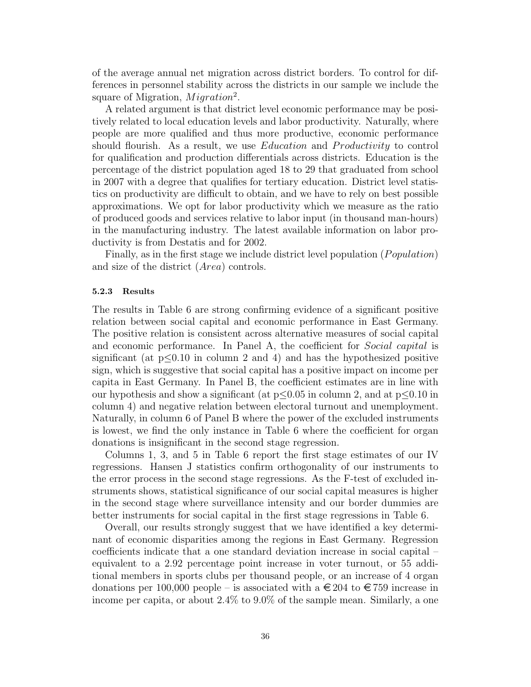of the average annual net migration across district borders. To control for differences in personnel stability across the districts in our sample we include the square of Migration,  $Migration^2$ .

A related argument is that district level economic performance may be positively related to local education levels and labor productivity. Naturally, where people are more qualified and thus more productive, economic performance should flourish. As a result, we use *Education* and *Productivity* to control for qualification and production differentials across districts. Education is the percentage of the district population aged 18 to 29 that graduated from school in 2007 with a degree that qualifies for tertiary education. District level statistics on productivity are difficult to obtain, and we have to rely on best possible approximations. We opt for labor productivity which we measure as the ratio of produced goods and services relative to labor input (in thousand man-hours) in the manufacturing industry. The latest available information on labor productivity is from Destatis and for 2002.

Finally, as in the first stage we include district level population ( $Population$ ) and size of the district (Area) controls.

### 5.2.3 Results

The results in Table 6 are strong confirming evidence of a significant positive relation between social capital and economic performance in East Germany. The positive relation is consistent across alternative measures of social capital and economic performance. In Panel A, the coefficient for *Social capital* is significant (at  $p<0.10$  in column 2 and 4) and has the hypothesized positive sign, which is suggestive that social capital has a positive impact on income per capita in East Germany. In Panel B, the coefficient estimates are in line with our hypothesis and show a significant (at  $p \leq 0.05$  in column 2, and at  $p \leq 0.10$  in column 4) and negative relation between electoral turnout and unemployment. Naturally, in column 6 of Panel B where the power of the excluded instruments is lowest, we find the only instance in Table 6 where the coefficient for organ donations is insignificant in the second stage regression.

Columns 1, 3, and 5 in Table 6 report the first stage estimates of our IV regressions. Hansen J statistics confirm orthogonality of our instruments to the error process in the second stage regressions. As the F-test of excluded instruments shows, statistical significance of our social capital measures is higher in the second stage where surveillance intensity and our border dummies are better instruments for social capital in the first stage regressions in Table 6.

Overall, our results strongly suggest that we have identified a key determinant of economic disparities among the regions in East Germany. Regression coefficients indicate that a one standard deviation increase in social capital – equivalent to a 2.92 percentage point increase in voter turnout, or 55 additional members in sports clubs per thousand people, or an increase of 4 organ donations per 100,000 people – is associated with a  $\epsilon$  204 to  $\epsilon$  759 increase in income per capita, or about 2.4% to 9.0% of the sample mean. Similarly, a one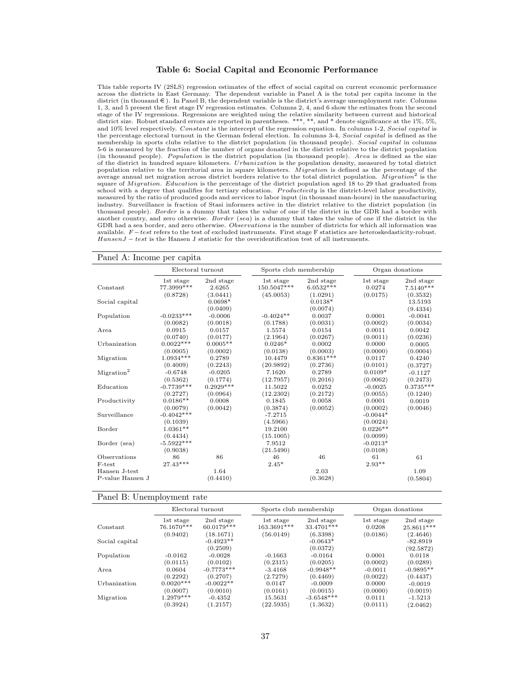#### Table 6: Social Capital and Economic Performance

This table reports IV (2SLS) regression estimates of the effect of social capital on current economic performance across the districts in East Germany. The dependent variable in Panel A is the total per capita income in the district (in thousand  $\epsilon$ ). In Panel B, the dependent variable is the district's average unemployment rate. Columns 1, 3, and 5 present the first stage IV regression estimates. Columns 2, 4, and 6 show the estimates from the second stage of the IV regressions. Regressions are weighted using the relative similarity between current and historical district size. Robust standard errors are reported in parentheses. \*\*\*, \*\*, and \* denote significance at the 1%, 5%, and 10% level respectively. Constant is the intercept of the regression equation. In columns 1-2, Social capital is the percentage electoral turnout in the German federal election. In columns 3-4, Social capital is defined as the membership in sports clubs relative to the district population (in thousand people). Social capital in columns 5-6 is measured by the fraction of the number of organs donated in the district relative to the district population (in thousand people). Population is the district population (in thousand people). Area is defined as the size of the district in hundred square kilometers. *Urbanization* is the population density, measured by total district<br>population relative to the territorial area in square kilometers. *Migration* is defined as the percentage square of *Migration. Education* is the percentage of the district population aged 18 to 29 that graduated from school with a degree that qualifies for tertiary education. Productivity is the district-level labor productivity, measured by the ratio of produced goods and services to labor input (in thousand man-hours) in the manufacturing industry. Surveillance is fraction of Stasi informers active in the district relative to the district population (in thousand people). Border is a dummy that takes the value of one if the district in the GDR had a border with another country, and zero otherwise. Border (sea) is a dummy that takes the value of one if the district in the GDR had a sea border, and zero otherwise. Observations is the number of districts for which all information was available.  $F-test$  refers to the test of excluded instruments. First stage F statistics are heteroskedasticity-robust. HansenJ − test is the Hansen J statistic for the overidentification test of all instruments.

#### Panel A: Income per capita

|                        | Electoral turnout       |                     |                          | Sports club membership   |                     | Organ donations          |  |
|------------------------|-------------------------|---------------------|--------------------------|--------------------------|---------------------|--------------------------|--|
| Constant               | 1st stage<br>77.3999*** | 2nd stage<br>2.6265 | 1st stage<br>150.5047*** | 2nd stage<br>$6.0532***$ | 1st stage<br>0.0274 | 2nd stage<br>$7.5140***$ |  |
|                        | (0.8728)                | (3.0441)            | (45.0053)                | (1.0291)                 | (0.0175)            | (0.3532)                 |  |
| Social capital         |                         | $0.0698*$           |                          | $0.0138*$                |                     | 13.5193                  |  |
|                        |                         | (0.0409)            |                          | (0.0074)                 |                     | (9.4334)                 |  |
| Population             | $-0.0233***$            | $-0.0006$           | $-0.4024**$              | 0.0037                   | 0.0001              | $-0.0041$                |  |
|                        | (0.0082)                | (0.0018)            | (0.1788)                 | (0.0031)                 | (0.0002)            | (0.0034)                 |  |
| Area                   | 0.0915                  | 0.0157              | 1.5574                   | 0.0154                   | 0.0011              | 0.0042                   |  |
|                        | (0.0740)                | (0.0177)            | (2.1964)                 | (0.0267)                 | (0.0011)            | (0.0236)                 |  |
| Urbanization           | $0.0022***$             | $0.0005**$          | $0.0246*$                | 0.0002                   | 0.0000              | 0.0005                   |  |
|                        | (0.0005)                | (0.0002)            | (0.0138)                 | (0.0003)                 | (0.0000)            | (0.0004)                 |  |
| Migration              | $1.0934***$             | 0.2789              | 10.4479                  | $0.8361***$              | 0.0117              | 0.4240                   |  |
|                        | (0.4009)                | (0.2243)            | (20.9892)                | (0.2736)                 | (0.0101)            | (0.3727)                 |  |
| Migration <sup>2</sup> | $-0.6748$               | $-0.0205$           | 7.1620                   | 0.2789                   | $0.0109*$           | $-0.1127$                |  |
|                        | (0.5362)                | (0.1774)            | (12.7957)                | (0.2016)                 | (0.0062)            | (0.2473)                 |  |
| Education              | $-0.7739***$            | $0.2929***$         | 11.5022                  | 0.0252                   | $-0.0025$           | $0.3735***$              |  |
|                        | (0.2727)                | (0.0964)            | (12.2302)                | (0.2172)                 | (0.0055)            | (0.1240)                 |  |
| Productivity           | $0.0186**$              | 0.0008              | 0.1845                   | 0.0058                   | 0.0001              | 0.0019                   |  |
|                        | (0.0079)                | (0.0042)            | (0.3874)                 | (0.0052)                 | (0.0002)            | (0.0046)                 |  |
| Surveillance           | $-0.4042***$            |                     | $-7.2715$                |                          | $-0.0044*$          |                          |  |
|                        | (0.1039)                |                     | (4.5966)                 |                          | (0.0024)            |                          |  |
| Border                 | $1.0361**$              |                     | 19.2100                  |                          | $0.0226**$          |                          |  |
|                        | (0.4434)                |                     | (15.1005)                |                          | (0.0099)            |                          |  |
| Border (sea)           | $-5.5922***$            |                     | 7.9512                   |                          | $-0.0213*$          |                          |  |
|                        | (0.9038)                |                     | (21.5490)                |                          | (0.0108)            |                          |  |
| Observations           | 86                      | 86                  | 46                       | 46                       | 61                  | 61                       |  |
| F-test                 | $27.43***$              |                     | $2.45*$                  |                          | $2.93^{\ast\ast}$   |                          |  |
| Hansen J-test          |                         | 1.64                |                          | 2.03                     |                     | 1.09                     |  |
| P-value Hansen J       |                         | (0.4410)            |                          | (0.3628)                 |                     | (0.5804)                 |  |

#### Panel B: Unemployment rate

|                |             | Electoral turnout       | Sports club membership |                        |           | Organ donations         |  |
|----------------|-------------|-------------------------|------------------------|------------------------|-----------|-------------------------|--|
| Constant       | 1st stage   | 2nd stage               | 1st stage              | 2nd stage              | 1st stage | 2nd stage               |  |
|                | 76.1670***  | 60.0179***              | 163.3691***            | 33.4701***             | 0.0208    | 25.8611***              |  |
|                | (0.9402)    | (18.1671)               | (56.0149)              | (6.3398)               | (0.0186)  | (2.4646)                |  |
| Social capital |             | $-0.4923**$<br>(0.2509) |                        | $-0.0643*$<br>(0.0372) |           | $-82.8919$<br>(92.5872) |  |
| Population     | $-0.0162$   | $-0.0028$               | $-0.1663$              | $-0.0164$              | 0.0001    | 0.0118                  |  |
|                | (0.0115)    | (0.0102)                | (0.2315)               | (0.0205)               | (0.0002)  | (0.0289)                |  |
| Area           | 0.0604      | $-0.7773***$            | $-3.4168$              | $-0.9948**$            | $-0.0011$ | $-0.9895**$             |  |
|                | (0.2292)    | (0.2707)                | (2.7279)               | (0.4469)               | (0.0022)  | (0.4437)                |  |
| Urbanization   | $0.0020***$ | $-0.0022**$             | 0.0147                 | $-0.0009$              | 0.0000    | $-0.0019$               |  |
|                | (0.0007)    | (0.0010)                | (0.0161)               | (0.0015)               | (0.0000)  | (0.0019)                |  |
| Migration      | $1.2979***$ | $-0.4352$               | 15.5631                | $-3.6548***$           | 0.0111    | $-1.5213$               |  |
|                | (0.3924)    | (1.2157)                | (22.5935)              | (1.3632)               | (0.0111)  | (2.0462)                |  |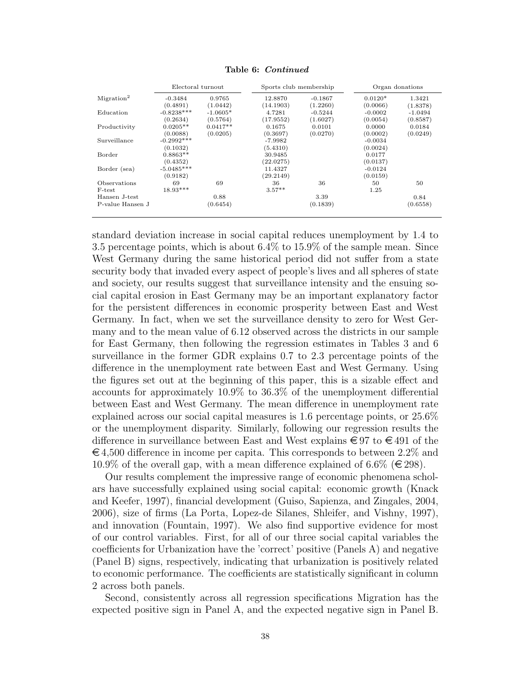|                        | Electoral turnout |            | Sports club membership |           |           | Organ donations |
|------------------------|-------------------|------------|------------------------|-----------|-----------|-----------------|
| Migration <sup>2</sup> | $-0.3484$         | 0.9765     | 12.8870                | $-0.1867$ | $0.0120*$ | 1.3421          |
|                        | (0.4891)          | (1.0442)   | (14.1903)              | (1.2260)  | (0.0066)  | (1.8378)        |
| Education              | $-0.8238***$      | $-1.0605*$ | 4.7281                 | $-0.5244$ | $-0.0002$ | $-1.0494$       |
|                        | (0.2634)          | (0.5764)   | (17.9552)              | (1.6027)  | (0.0054)  | (0.8587)        |
| Productivity           | $0.0205**$        | $0.0417**$ | 0.1675                 | 0.0101    | 0.0000    | 0.0184          |
|                        | (0.0088)          | (0.0205)   | (0.3697)               | (0.0270)  | (0.0002)  | (0.0249)        |
| Surveillance           | $-0.2992***$      |            | $-7.9982$              |           | $-0.0034$ |                 |
|                        | (0.1032)          |            | (5.4310)               |           | (0.0024)  |                 |
| Border                 | $0.8863**$        |            | 30.9485                |           | 0.0177    |                 |
|                        | (0.4352)          |            | (22.0275)              |           | (0.0137)  |                 |
| Border (sea)           | $-5.0485***$      |            | 11.4327                |           | $-0.0124$ |                 |
|                        | (0.9182)          |            | (29.2149)              |           | (0.0159)  |                 |
| Observations           | 69                | 69         | 36                     | 36        | 50        | 50              |
| F-test                 | $18.93***$        |            | $3.57**$               |           | 1.25      |                 |
| Hansen J-test          |                   | 0.88       |                        | 3.39      |           | 0.84            |
| P-value Hansen J       |                   | (0.6454)   |                        | (0.1839)  |           | (0.6558)        |

Table 6: Continued

standard deviation increase in social capital reduces unemployment by 1.4 to 3.5 percentage points, which is about 6.4% to 15.9% of the sample mean. Since West Germany during the same historical period did not suffer from a state security body that invaded every aspect of people's lives and all spheres of state and society, our results suggest that surveillance intensity and the ensuing social capital erosion in East Germany may be an important explanatory factor for the persistent differences in economic prosperity between East and West Germany. In fact, when we set the surveillance density to zero for West Germany and to the mean value of 6.12 observed across the districts in our sample for East Germany, then following the regression estimates in Tables 3 and 6 surveillance in the former GDR explains 0.7 to 2.3 percentage points of the difference in the unemployment rate between East and West Germany. Using the figures set out at the beginning of this paper, this is a sizable effect and accounts for approximately 10.9% to 36.3% of the unemployment differential between East and West Germany. The mean difference in unemployment rate explained across our social capital measures is 1.6 percentage points, or 25.6% or the unemployment disparity. Similarly, following our regression results the difference in surveillance between East and West explains  $\epsilon \in \{97, 100\}$  of the  $\epsilon$  4,500 difference in income per capita. This corresponds to between 2.2% and 10.9% of the overall gap, with a mean difference explained of 6.6% ( $\in$  298).

Our results complement the impressive range of economic phenomena scholars have successfully explained using social capital: economic growth (Knack and Keefer, 1997), financial development (Guiso, Sapienza, and Zingales, 2004, 2006), size of firms (La Porta, Lopez-de Silanes, Shleifer, and Vishny, 1997), and innovation (Fountain, 1997). We also find supportive evidence for most of our control variables. First, for all of our three social capital variables the coefficients for Urbanization have the 'correct' positive (Panels A) and negative (Panel B) signs, respectively, indicating that urbanization is positively related to economic performance. The coefficients are statistically significant in column 2 across both panels.

Second, consistently across all regression specifications Migration has the expected positive sign in Panel A, and the expected negative sign in Panel B.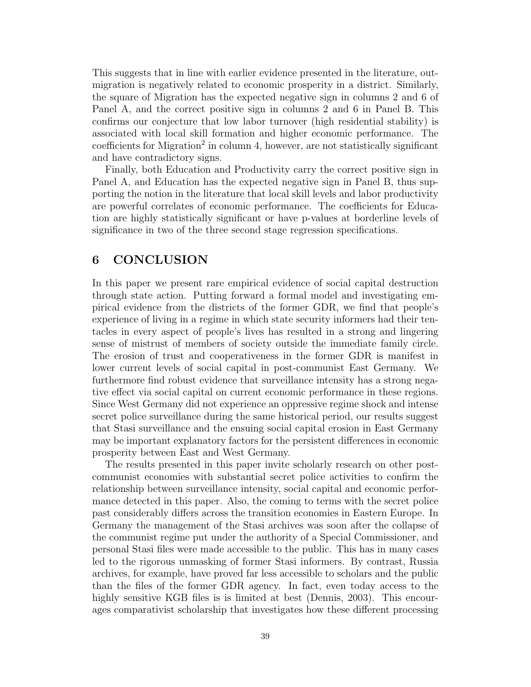This suggests that in line with earlier evidence presented in the literature, outmigration is negatively related to economic prosperity in a district. Similarly, the square of Migration has the expected negative sign in columns 2 and 6 of Panel A, and the correct positive sign in columns 2 and 6 in Panel B. This confirms our conjecture that low labor turnover (high residential stability) is associated with local skill formation and higher economic performance. The  $coefficients$  for Migration<sup>2</sup> in column 4, however, are not statistically significant and have contradictory signs.

Finally, both Education and Productivity carry the correct positive sign in Panel A, and Education has the expected negative sign in Panel B, thus supporting the notion in the literature that local skill levels and labor productivity are powerful correlates of economic performance. The coefficients for Education are highly statistically significant or have p-values at borderline levels of significance in two of the three second stage regression specifications.

# 6 CONCLUSION

In this paper we present rare empirical evidence of social capital destruction through state action. Putting forward a formal model and investigating empirical evidence from the districts of the former GDR, we find that people's experience of living in a regime in which state security informers had their tentacles in every aspect of people's lives has resulted in a strong and lingering sense of mistrust of members of society outside the immediate family circle. The erosion of trust and cooperativeness in the former GDR is manifest in lower current levels of social capital in post-communist East Germany. We furthermore find robust evidence that surveillance intensity has a strong negative effect via social capital on current economic performance in these regions. Since West Germany did not experience an oppressive regime shock and intense secret police surveillance during the same historical period, our results suggest that Stasi surveillance and the ensuing social capital erosion in East Germany may be important explanatory factors for the persistent differences in economic prosperity between East and West Germany.

The results presented in this paper invite scholarly research on other postcommunist economies with substantial secret police activities to confirm the relationship between surveillance intensity, social capital and economic performance detected in this paper. Also, the coming to terms with the secret police past considerably differs across the transition economies in Eastern Europe. In Germany the management of the Stasi archives was soon after the collapse of the communist regime put under the authority of a Special Commissioner, and personal Stasi files were made accessible to the public. This has in many cases led to the rigorous unmasking of former Stasi informers. By contrast, Russia archives, for example, have proved far less accessible to scholars and the public than the files of the former GDR agency. In fact, even today access to the highly sensitive KGB files is is limited at best (Dennis, 2003). This encourages comparativist scholarship that investigates how these different processing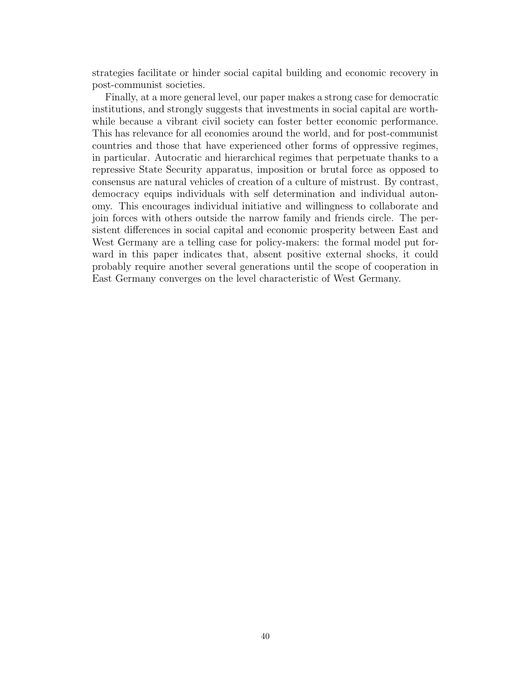strategies facilitate or hinder social capital building and economic recovery in post-communist societies.

Finally, at a more general level, our paper makes a strong case for democratic institutions, and strongly suggests that investments in social capital are worthwhile because a vibrant civil society can foster better economic performance. This has relevance for all economies around the world, and for post-communist countries and those that have experienced other forms of oppressive regimes, in particular. Autocratic and hierarchical regimes that perpetuate thanks to a repressive State Security apparatus, imposition or brutal force as opposed to consensus are natural vehicles of creation of a culture of mistrust. By contrast, democracy equips individuals with self determination and individual autonomy. This encourages individual initiative and willingness to collaborate and join forces with others outside the narrow family and friends circle. The persistent differences in social capital and economic prosperity between East and West Germany are a telling case for policy-makers: the formal model put forward in this paper indicates that, absent positive external shocks, it could probably require another several generations until the scope of cooperation in East Germany converges on the level characteristic of West Germany.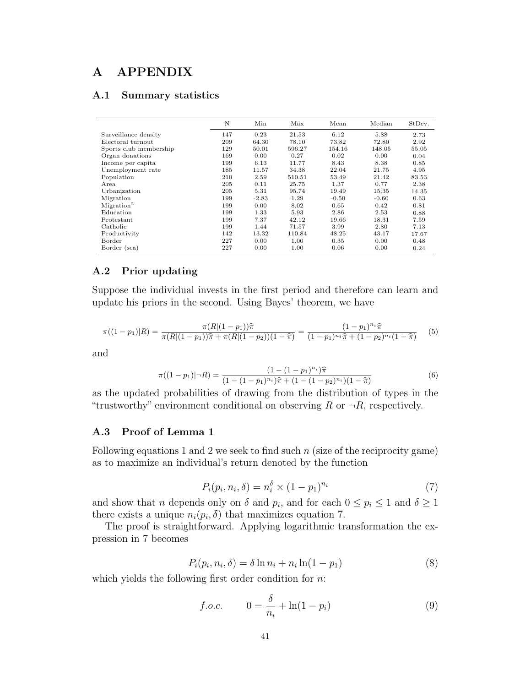# A APPENDIX

# A.1 Summary statistics

|                        | N   | Min     | Max    | Mean    | Median  | StDev. |
|------------------------|-----|---------|--------|---------|---------|--------|
| Surveillance density   | 147 | 0.23    | 21.53  | 6.12    | 5.88    | 2.73   |
| Electoral turnout      | 209 | 64.30   | 78.10  | 73.82   | 72.80   | 2.92   |
| Sports club membership | 129 | 50.01   | 596.27 | 154.16  | 148.05  | 55.05  |
| Organ donations        | 169 | 0.00    | 0.27   | 0.02    | 0.00    | 0.04   |
| Income per capita      | 199 | 6.13    | 11.77  | 8.43    | 8.38    | 0.85   |
| Unemployment rate      | 185 | 11.57   | 34.38  | 22.04   | 21.75   | 4.95   |
| Population             | 210 | 2.59    | 510.51 | 53.49   | 21.42   | 83.53  |
| Area                   | 205 | 0.11    | 25.75  | 1.37    | 0.77    | 2.38   |
| Urbanization           | 205 | 5.31    | 95.74  | 19.49   | 15.35   | 14.35  |
| Migration              | 199 | $-2.83$ | 1.29   | $-0.50$ | $-0.60$ | 0.63   |
| Migration <sup>2</sup> | 199 | 0.00    | 8.02   | 0.65    | 0.42    | 0.81   |
| Education              | 199 | 1.33    | 5.93   | 2.86    | 2.53    | 0.88   |
| Protestant             | 199 | 7.37    | 42.12  | 19.66   | 18.31   | 7.59   |
| Catholic               | 199 | 1.44    | 71.57  | 3.99    | 2.80    | 7.13   |
| Productivity           | 142 | 13.32   | 110.84 | 48.25   | 43.17   | 17.67  |
| Border                 | 227 | 0.00    | 1.00   | 0.35    | 0.00    | 0.48   |
| Border (sea)           | 227 | 0.00    | 1.00   | 0.06    | 0.00    | 0.24   |

# A.2 Prior updating

Suppose the individual invests in the first period and therefore can learn and update his priors in the second. Using Bayes' theorem, we have

$$
\pi((1-p_1)|R) = \frac{\pi(R|(1-p_1))\hat{\pi}}{\pi(R|(1-p_1))\hat{\pi} + \pi(R|(1-p_2))(1-\hat{\pi})} = \frac{(1-p_1)^{n_i}\hat{\pi}}{(1-p_1)^{n_i}\hat{\pi} + (1-p_2)^{n_i}(1-\hat{\pi})}
$$
(5)

and

$$
\pi((1-p_1)|\neg R) = \frac{(1-(1-p_1)^{n_i})\hat{\pi}}{(1-(1-p_1)^{n_i})\hat{\pi} + (1-(1-p_2)^{n_i})(1-\hat{\pi})}
$$
(6)

as the updated probabilities of drawing from the distribution of types in the "trustworthy" environment conditional on observing R or  $\neg R$ , respectively.

# A.3 Proof of Lemma 1

Following equations 1 and 2 we seek to find such  $n$  (size of the reciprocity game) as to maximize an individual's return denoted by the function

$$
P_i(p_i, n_i, \delta) = n_i^{\delta} \times (1 - p_1)^{n_i} \tag{7}
$$

and show that *n* depends only on  $\delta$  and  $p_i$ , and for each  $0 \leq p_i \leq 1$  and  $\delta \geq 1$ there exists a unique  $n_i(p_i, \delta)$  that maximizes equation 7.

The proof is straightforward. Applying logarithmic transformation the expression in 7 becomes

$$
P_i(p_i, n_i, \delta) = \delta \ln n_i + n_i \ln(1 - p_1)
$$
\n(8)

which yields the following first order condition for  $n$ :

f.o.c. 
$$
0 = \frac{\delta}{n_i} + \ln(1 - p_i)
$$
 (9)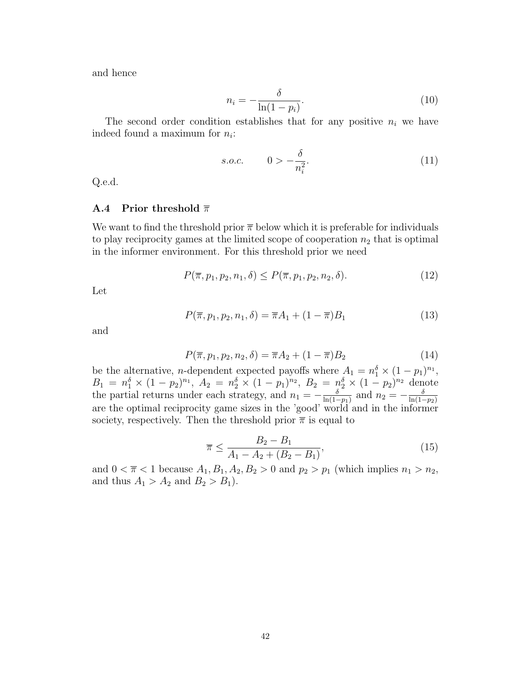and hence

$$
n_i = -\frac{\delta}{\ln(1 - p_i)}.\tag{10}
$$

The second order condition establishes that for any positive  $n_i$  we have indeed found a maximum for  $n_i$ :

s.o.c. 
$$
0 > -\frac{\delta}{n_i^2}
$$
. (11)

Q.e.d.

# **A.4** Prior threshold  $\bar{\pi}$

We want to find the threshold prior  $\bar{\pi}$  below which it is preferable for individuals to play reciprocity games at the limited scope of cooperation  $n_2$  that is optimal in the informer environment. For this threshold prior we need

$$
P(\overline{\pi}, p_1, p_2, n_1, \delta) \le P(\overline{\pi}, p_1, p_2, n_2, \delta).
$$
 (12)

Let

$$
P(\overline{\pi}, p_1, p_2, n_1, \delta) = \overline{\pi}A_1 + (1 - \overline{\pi})B_1
$$
\n(13)

and

$$
P(\overline{\pi}, p_1, p_2, n_2, \delta) = \overline{\pi}A_2 + (1 - \overline{\pi})B_2
$$
\n(14)

be the alternative, *n*-dependent expected payoffs where  $A_1 = n_1^{\delta} \times (1 - p_1)^{n_1}$ ,  $B_1 = n_1^{\delta} \times (1 - p_2)^{n_1}, A_2 = n_2^{\delta} \times (1 - p_1)^{n_2}, B_2 = n_2^{\delta} \times (1 - p_2)^{n_2}$  denote the partial returns under each strategy, and  $n_1 = -\frac{\delta}{\ln(1-\epsilon)}$  $\frac{\delta}{\ln(1-p_1)}$  and  $n_2 = -\frac{\delta}{\ln(1-p_1)}$  $ln(1-p_2)$ are the optimal reciprocity game sizes in the 'good' world and in the informer society, respectively. Then the threshold prior  $\bar{\pi}$  is equal to

$$
\overline{\pi} \le \frac{B_2 - B_1}{A_1 - A_2 + (B_2 - B_1)},\tag{15}
$$

and  $0 < \bar{\pi} < 1$  because  $A_1, B_1, A_2, B_2 > 0$  and  $p_2 > p_1$  (which implies  $n_1 > n_2$ , and thus  $A_1 > A_2$  and  $B_2 > B_1$ ).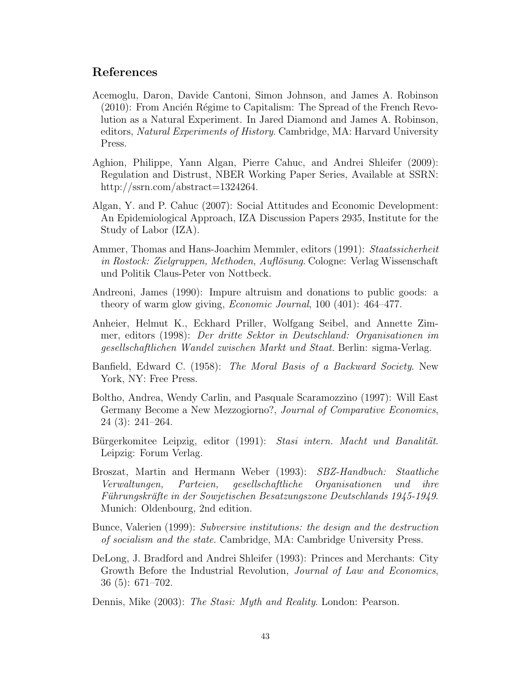# References

- Acemoglu, Daron, Davide Cantoni, Simon Johnson, and James A. Robinson  $(2010)$ : From Ancién Régime to Capitalism: The Spread of the French Revolution as a Natural Experiment. In Jared Diamond and James A. Robinson, editors, *Natural Experiments of History*. Cambridge, MA: Harvard University Press.
- Aghion, Philippe, Yann Algan, Pierre Cahuc, and Andrei Shleifer (2009): Regulation and Distrust, NBER Working Paper Series, Available at SSRN: http://ssrn.com/abstract=1324264.
- Algan, Y. and P. Cahuc (2007): Social Attitudes and Economic Development: An Epidemiological Approach, IZA Discussion Papers 2935, Institute for the Study of Labor (IZA).
- Ammer, Thomas and Hans-Joachim Memmler, editors (1991): Staatssicherheit in Rostock: Zielgruppen, Methoden, Auflösung. Cologne: Verlag Wissenschaft und Politik Claus-Peter von Nottbeck.
- Andreoni, James (1990): Impure altruism and donations to public goods: a theory of warm glow giving, Economic Journal, 100 (401): 464–477.
- Anheier, Helmut K., Eckhard Priller, Wolfgang Seibel, and Annette Zimmer, editors (1998): Der dritte Sektor in Deutschland: Organisationen im gesellschaftlichen Wandel zwischen Markt und Staat. Berlin: sigma-Verlag.
- Banfield, Edward C. (1958): The Moral Basis of a Backward Society. New York, NY: Free Press.
- Boltho, Andrea, Wendy Carlin, and Pasquale Scaramozzino (1997): Will East Germany Become a New Mezzogiorno?, Journal of Comparative Economics, 24 (3): 241–264.
- Bürgerkomitee Leipzig, editor (1991): Stasi intern. Macht und Banalität. Leipzig: Forum Verlag.
- Broszat, Martin and Hermann Weber (1993): SBZ-Handbuch: Staatliche Verwaltungen, Parteien, gesellschaftliche Organisationen und ihre Führungskräfte in der Sowjetischen Besatzungszone Deutschlands 1945-1949. Munich: Oldenbourg, 2nd edition.
- Bunce, Valerien (1999): Subversive institutions: the design and the destruction of socialism and the state. Cambridge, MA: Cambridge University Press.
- DeLong, J. Bradford and Andrei Shleifer (1993): Princes and Merchants: City Growth Before the Industrial Revolution, *Journal of Law and Economics*, 36 (5): 671–702.
- Dennis, Mike (2003): The Stasi: Myth and Reality. London: Pearson.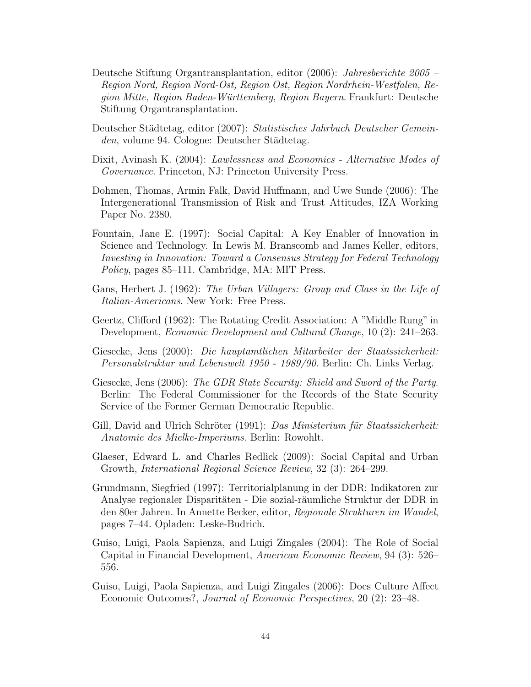- Deutsche Stiftung Organtransplantation, editor (2006): Jahresberichte 2005 Region Nord, Region Nord-Ost, Region Ost, Region Nordrhein-Westfalen, Region Mitte, Region Baden-Württemberg, Region Bayern. Frankfurt: Deutsche Stiftung Organtransplantation.
- Deutscher Städtetag, editor (2007): Statistisches Jahrbuch Deutscher Gemeinden, volume 94. Cologne: Deutscher Städtetag.
- Dixit, Avinash K. (2004): Lawlessness and Economics Alternative Modes of Governance. Princeton, NJ: Princeton University Press.
- Dohmen, Thomas, Armin Falk, David Huffmann, and Uwe Sunde (2006): The Intergenerational Transmission of Risk and Trust Attitudes, IZA Working Paper No. 2380.
- Fountain, Jane E. (1997): Social Capital: A Key Enabler of Innovation in Science and Technology. In Lewis M. Branscomb and James Keller, editors, Investing in Innovation: Toward a Consensus Strategy for Federal Technology Policy, pages 85–111. Cambridge, MA: MIT Press.
- Gans, Herbert J. (1962): The Urban Villagers: Group and Class in the Life of Italian-Americans. New York: Free Press.
- Geertz, Clifford (1962): The Rotating Credit Association: A "Middle Rung" in Development, Economic Development and Cultural Change, 10 (2): 241–263.
- Giesecke, Jens (2000): Die hauptamtlichen Mitarbeiter der Staatssicherheit: Personalstruktur und Lebenswelt 1950 - 1989/90. Berlin: Ch. Links Verlag.
- Giesecke, Jens (2006): The GDR State Security: Shield and Sword of the Party. Berlin: The Federal Commissioner for the Records of the State Security Service of the Former German Democratic Republic.
- Gill, David and Ulrich Schröter (1991): Das Ministerium für Staatssicherheit: Anatomie des Mielke-Imperiums. Berlin: Rowohlt.
- Glaeser, Edward L. and Charles Redlick (2009): Social Capital and Urban Growth, International Regional Science Review, 32 (3): 264–299.
- Grundmann, Siegfried (1997): Territorialplanung in der DDR: Indikatoren zur Analyse regionaler Disparitäten - Die sozial-räumliche Struktur der DDR in den 80er Jahren. In Annette Becker, editor, Regionale Strukturen im Wandel, pages 7–44. Opladen: Leske-Budrich.
- Guiso, Luigi, Paola Sapienza, and Luigi Zingales (2004): The Role of Social Capital in Financial Development, American Economic Review, 94 (3): 526– 556.
- Guiso, Luigi, Paola Sapienza, and Luigi Zingales (2006): Does Culture Affect Economic Outcomes?, Journal of Economic Perspectives, 20 (2): 23–48.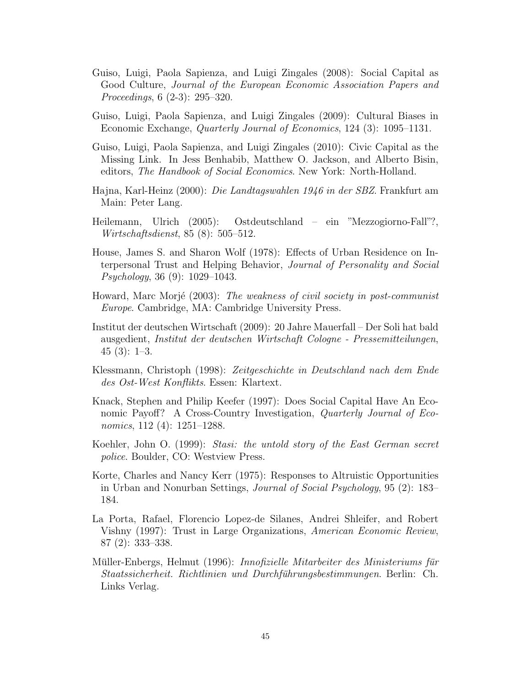- Guiso, Luigi, Paola Sapienza, and Luigi Zingales (2008): Social Capital as Good Culture, Journal of the European Economic Association Papers and Proceedings, 6 (2-3): 295–320.
- Guiso, Luigi, Paola Sapienza, and Luigi Zingales (2009): Cultural Biases in Economic Exchange, Quarterly Journal of Economics, 124 (3): 1095–1131.
- Guiso, Luigi, Paola Sapienza, and Luigi Zingales (2010): Civic Capital as the Missing Link. In Jess Benhabib, Matthew O. Jackson, and Alberto Bisin, editors, *The Handbook of Social Economics*. New York: North-Holland.
- Hajna, Karl-Heinz (2000): Die Landtagswahlen 1946 in der SBZ. Frankfurt am Main: Peter Lang.
- Heilemann, Ulrich (2005): Ostdeutschland ein "Mezzogiorno-Fall"?, Wirtschaftsdienst, 85 (8): 505–512.
- House, James S. and Sharon Wolf (1978): Effects of Urban Residence on Interpersonal Trust and Helping Behavior, Journal of Personality and Social Psychology, 36 (9): 1029–1043.
- Howard, Marc Morjé (2003): The weakness of civil society in post-communist Europe. Cambridge, MA: Cambridge University Press.
- Institut der deutschen Wirtschaft (2009): 20 Jahre Mauerfall Der Soli hat bald ausgedient, Institut der deutschen Wirtschaft Cologne - Pressemitteilungen, 45 (3): 1–3.
- Klessmann, Christoph (1998): Zeitgeschichte in Deutschland nach dem Ende des Ost-West Konflikts. Essen: Klartext.
- Knack, Stephen and Philip Keefer (1997): Does Social Capital Have An Economic Payoff? A Cross-Country Investigation, Quarterly Journal of Economics, 112 (4): 1251–1288.
- Koehler, John O. (1999): Stasi: the untold story of the East German secret police. Boulder, CO: Westview Press.
- Korte, Charles and Nancy Kerr (1975): Responses to Altruistic Opportunities in Urban and Nonurban Settings, Journal of Social Psychology, 95 (2): 183– 184.
- La Porta, Rafael, Florencio Lopez-de Silanes, Andrei Shleifer, and Robert Vishny (1997): Trust in Large Organizations, American Economic Review, 87 (2): 333–338.
- Müller-Enbergs, Helmut (1996): *Innofizielle Mitarbeiter des Ministeriums für* Staatssicherheit. Richtlinien und Durchführungsbestimmungen. Berlin: Ch. Links Verlag.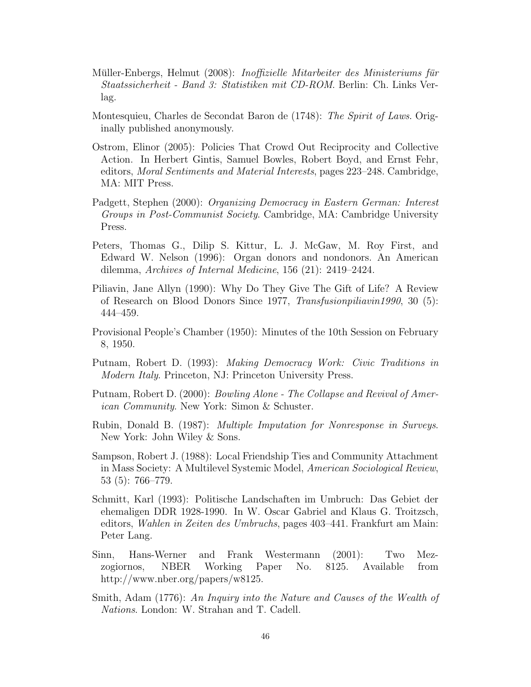- Müller-Enbergs, Helmut (2008): *Inoffizielle Mitarbeiter des Ministeriums für* Staatssicherheit - Band 3: Statistiken mit CD-ROM. Berlin: Ch. Links Verlag.
- Montesquieu, Charles de Secondat Baron de (1748): The Spirit of Laws. Originally published anonymously.
- Ostrom, Elinor (2005): Policies That Crowd Out Reciprocity and Collective Action. In Herbert Gintis, Samuel Bowles, Robert Boyd, and Ernst Fehr, editors, Moral Sentiments and Material Interests, pages 223–248. Cambridge, MA: MIT Press.
- Padgett, Stephen (2000): Organizing Democracy in Eastern German: Interest Groups in Post-Communist Society. Cambridge, MA: Cambridge University Press.
- Peters, Thomas G., Dilip S. Kittur, L. J. McGaw, M. Roy First, and Edward W. Nelson (1996): Organ donors and nondonors. An American dilemma, Archives of Internal Medicine, 156 (21): 2419–2424.
- Piliavin, Jane Allyn (1990): Why Do They Give The Gift of Life? A Review of Research on Blood Donors Since 1977, Transfusionpiliavin1990, 30 (5): 444–459.
- Provisional People's Chamber (1950): Minutes of the 10th Session on February 8, 1950.
- Putnam, Robert D. (1993): Making Democracy Work: Civic Traditions in Modern Italy. Princeton, NJ: Princeton University Press.
- Putnam, Robert D. (2000): *Bowling Alone The Collapse and Revival of Amer*ican Community. New York: Simon & Schuster.
- Rubin, Donald B. (1987): Multiple Imputation for Nonresponse in Surveys. New York: John Wiley & Sons.
- Sampson, Robert J. (1988): Local Friendship Ties and Community Attachment in Mass Society: A Multilevel Systemic Model, American Sociological Review, 53 (5): 766–779.
- Schmitt, Karl (1993): Politische Landschaften im Umbruch: Das Gebiet der ehemaligen DDR 1928-1990. In W. Oscar Gabriel and Klaus G. Troitzsch, editors, Wahlen in Zeiten des Umbruchs, pages 403–441. Frankfurt am Main: Peter Lang.
- Sinn, Hans-Werner and Frank Westermann (2001): Two Mezzogiornos, NBER Working Paper No. 8125. Available from http://www.nber.org/papers/w8125.
- Smith, Adam (1776): An Inquiry into the Nature and Causes of the Wealth of Nations. London: W. Strahan and T. Cadell.